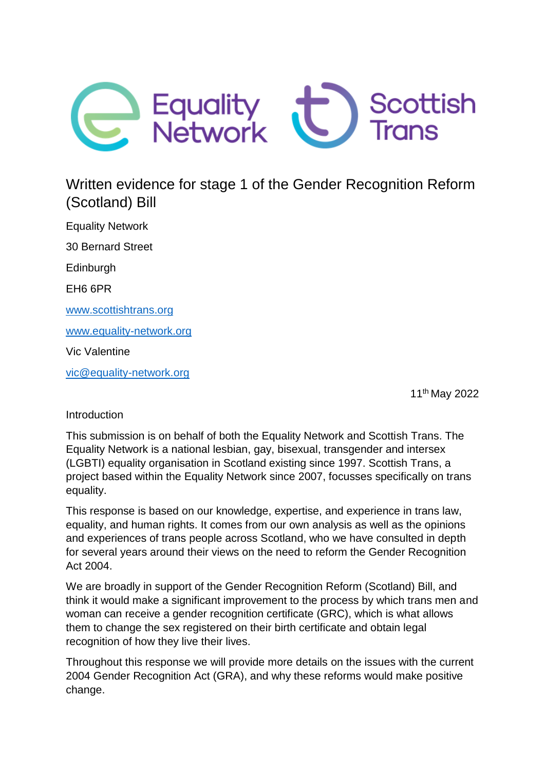

# Written evidence for stage 1 of the Gender Recognition Reform (Scotland) Bill

Equality Network 30 Bernard Street Edinburgh EH6 6PR [www.scottishtrans.org](http://www.scottishtrans.org/) [www.equality-network.org](http://www.equality-network.org/) Vic Valentine [vic@equality-network.org](mailto:vic@equality-network.org)

11th May 2022

Introduction

This submission is on behalf of both the Equality Network and Scottish Trans. The Equality Network is a national lesbian, gay, bisexual, transgender and intersex (LGBTI) equality organisation in Scotland existing since 1997. Scottish Trans, a project based within the Equality Network since 2007, focusses specifically on trans equality.

This response is based on our knowledge, expertise, and experience in trans law, equality, and human rights. It comes from our own analysis as well as the opinions and experiences of trans people across Scotland, who we have consulted in depth for several years around their views on the need to reform the Gender Recognition Act 2004.

We are broadly in support of the Gender Recognition Reform (Scotland) Bill, and think it would make a significant improvement to the process by which trans men and woman can receive a gender recognition certificate (GRC), which is what allows them to change the sex registered on their birth certificate and obtain legal recognition of how they live their lives.

Throughout this response we will provide more details on the issues with the current 2004 Gender Recognition Act (GRA), and why these reforms would make positive change.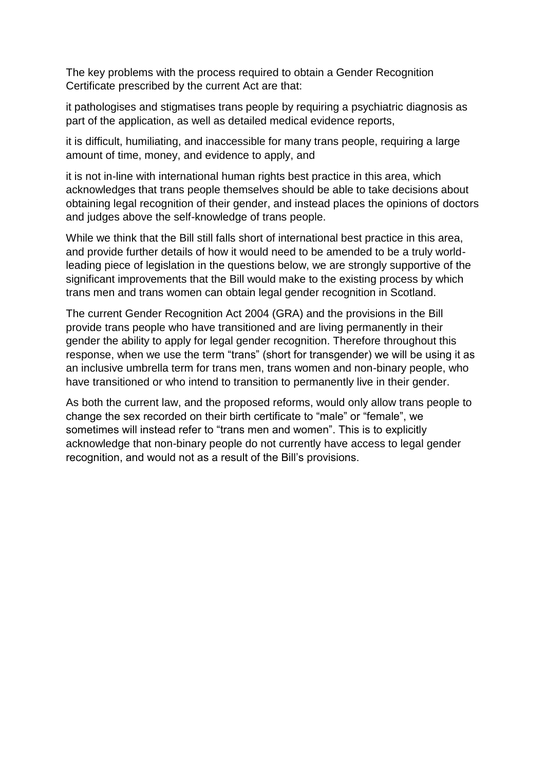The key problems with the process required to obtain a Gender Recognition Certificate prescribed by the current Act are that:

it pathologises and stigmatises trans people by requiring a psychiatric diagnosis as part of the application, as well as detailed medical evidence reports,

it is difficult, humiliating, and inaccessible for many trans people, requiring a large amount of time, money, and evidence to apply, and

it is not in-line with international human rights best practice in this area, which acknowledges that trans people themselves should be able to take decisions about obtaining legal recognition of their gender, and instead places the opinions of doctors and judges above the self-knowledge of trans people.

While we think that the Bill still falls short of international best practice in this area, and provide further details of how it would need to be amended to be a truly worldleading piece of legislation in the questions below, we are strongly supportive of the significant improvements that the Bill would make to the existing process by which trans men and trans women can obtain legal gender recognition in Scotland.

The current Gender Recognition Act 2004 (GRA) and the provisions in the Bill provide trans people who have transitioned and are living permanently in their gender the ability to apply for legal gender recognition. Therefore throughout this response, when we use the term "trans" (short for transgender) we will be using it as an inclusive umbrella term for trans men, trans women and non-binary people, who have transitioned or who intend to transition to permanently live in their gender.

As both the current law, and the proposed reforms, would only allow trans people to change the sex recorded on their birth certificate to "male" or "female", we sometimes will instead refer to "trans men and women". This is to explicitly acknowledge that non-binary people do not currently have access to legal gender recognition, and would not as a result of the Bill's provisions.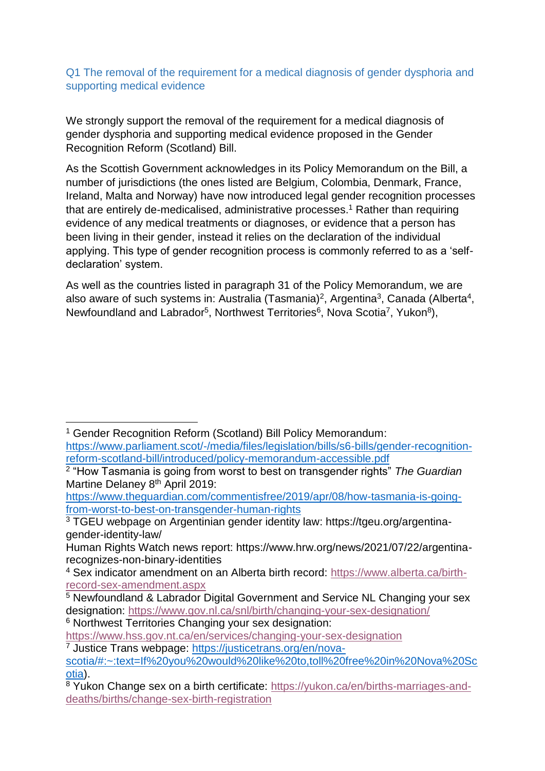## Q1 The removal of the requirement for a medical diagnosis of gender dysphoria and supporting medical evidence

We strongly support the removal of the requirement for a medical diagnosis of gender dysphoria and supporting medical evidence proposed in the Gender Recognition Reform (Scotland) Bill.

As the Scottish Government acknowledges in its Policy Memorandum on the Bill, a number of jurisdictions (the ones listed are Belgium, Colombia, Denmark, France, Ireland, Malta and Norway) have now introduced legal gender recognition processes that are entirely de-medicalised, administrative processes. <sup>1</sup> Rather than requiring evidence of any medical treatments or diagnoses, or evidence that a person has been living in their gender, instead it relies on the declaration of the individual applying. This type of gender recognition process is commonly referred to as a 'selfdeclaration' system.

As well as the countries listed in paragraph 31 of the Policy Memorandum, we are also aware of such systems in: Australia (Tasmania)<sup>2</sup>, Argentina<sup>3</sup>, Canada (Alberta<sup>4</sup>, Newfoundland and Labrador<sup>5</sup>, Northwest Territories<sup>6</sup>, Nova Scotia<sup>7</sup>, Yukon<sup>8</sup>),

**<sup>.</sup>** <sup>1</sup> Gender Recognition Reform (Scotland) Bill Policy Memorandum: [https://www.parliament.scot/-/media/files/legislation/bills/s6-bills/gender-recognition](https://www.parliament.scot/-/media/files/legislation/bills/s6-bills/gender-recognition-reform-scotland-bill/introduced/policy-memorandum-accessible.pdf)[reform-scotland-bill/introduced/policy-memorandum-accessible.pdf](https://www.parliament.scot/-/media/files/legislation/bills/s6-bills/gender-recognition-reform-scotland-bill/introduced/policy-memorandum-accessible.pdf)

<sup>2</sup> "How Tasmania is going from worst to best on transgender rights" *The Guardian* Martine Delaney 8<sup>th</sup> April 2019:

[https://www.theguardian.com/commentisfree/2019/apr/08/how-tasmania-is-going](https://www.theguardian.com/commentisfree/2019/apr/08/how-tasmania-is-going-from-worst-to-best-on-transgender-human-rights)[from-worst-to-best-on-transgender-human-rights](https://www.theguardian.com/commentisfree/2019/apr/08/how-tasmania-is-going-from-worst-to-best-on-transgender-human-rights)

<sup>3</sup> TGEU webpage on Argentinian gender identity law: https://tgeu.org/argentinagender-identity-law/

Human Rights Watch news report: https://www.hrw.org/news/2021/07/22/argentinarecognizes-non-binary-identities

<sup>4</sup> Sex indicator amendment on an Alberta birth record: [https://www.alberta.ca/birth](https://www.alberta.ca/birth-record-sex-amendment.aspx)[record-sex-amendment.aspx](https://www.alberta.ca/birth-record-sex-amendment.aspx)

<sup>&</sup>lt;sup>5</sup> Newfoundland & Labrador Digital Government and Service NL Changing your sex designation:<https://www.gov.nl.ca/snl/birth/changing-your-sex-designation/>

<sup>6</sup> Northwest Territories Changing your sex designation:

<https://www.hss.gov.nt.ca/en/services/changing-your-sex-designation> <sup>7</sup> Justice Trans webpage: [https://justicetrans.org/en/nova-](https://justicetrans.org/en/nova-scotia/#:~:text=If%20you%20would%20like%20to,toll%20free%20in%20Nova%20Scotia)

[scotia/#:~:text=If%20you%20would%20like%20to,toll%20free%20in%20Nova%20Sc](https://justicetrans.org/en/nova-scotia/#:~:text=If%20you%20would%20like%20to,toll%20free%20in%20Nova%20Scotia) [otia\)](https://justicetrans.org/en/nova-scotia/#:~:text=If%20you%20would%20like%20to,toll%20free%20in%20Nova%20Scotia).

<sup>8</sup> Yukon Change sex on a birth certificate: [https://yukon.ca/en/births-marriages-and](https://yukon.ca/en/births-marriages-and-deaths/births/change-sex-birth-registration)[deaths/births/change-sex-birth-registration](https://yukon.ca/en/births-marriages-and-deaths/births/change-sex-birth-registration)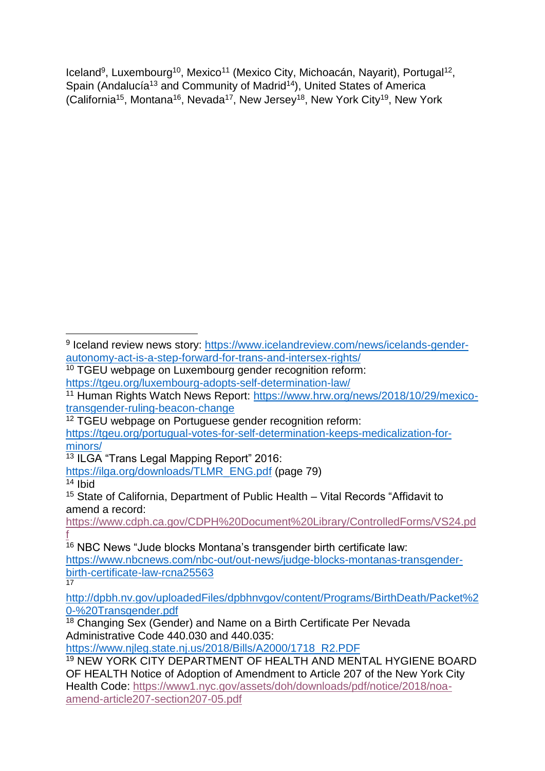Iceland<sup>9</sup>, Luxembourg<sup>10</sup>, Mexico<sup>11</sup> (Mexico City, Michoacán, Nayarit), Portugal<sup>12</sup>, Spain (Andalucía<sup>13</sup> and Community of Madrid<sup>14</sup>), United States of America (California<sup>15</sup>, Montana<sup>16</sup>, Nevada<sup>17</sup>, New Jersey<sup>18</sup>, New York City<sup>19</sup>, New York

[https://www.cdph.ca.gov/CDPH%20Document%20Library/ControlledForms/VS24.pd](https://www.cdph.ca.gov/CDPH%20Document%20Library/ControlledForms/VS24.pdf) [f](https://www.cdph.ca.gov/CDPH%20Document%20Library/ControlledForms/VS24.pdf)

 $16$  NBC News "Jude blocks Montana's transgender birth certificate law: [https://www.nbcnews.com/nbc-out/out-news/judge-blocks-montanas-transgender](https://www.nbcnews.com/nbc-out/out-news/judge-blocks-montanas-transgender-birth-certificate-law-rcna25563)[birth-certificate-law-rcna25563](https://www.nbcnews.com/nbc-out/out-news/judge-blocks-montanas-transgender-birth-certificate-law-rcna25563) 17

[https://www.njleg.state.nj.us/2018/Bills/A2000/1718\\_R2.PDF](https://www.njleg.state.nj.us/2018/Bills/A2000/1718_R2.PDF)

**<sup>.</sup>** <sup>9</sup> Iceland review news story: [https://www.icelandreview.com/news/icelands-gender](https://www.icelandreview.com/news/icelands-gender-autonomy-act-is-a-step-forward-for-trans-and-intersex-rights/)[autonomy-act-is-a-step-forward-for-trans-and-intersex-rights/](https://www.icelandreview.com/news/icelands-gender-autonomy-act-is-a-step-forward-for-trans-and-intersex-rights/)

<sup>&</sup>lt;sup>10</sup> TGEU webpage on Luxembourg gender recognition reform: <https://tgeu.org/luxembourg-adopts-self-determination-law/>

<sup>11</sup> Human Rights Watch News Report: [https://www.hrw.org/news/2018/10/29/mexico](https://www.hrw.org/news/2018/10/29/mexico-transgender-ruling-beacon-change)[transgender-ruling-beacon-change](https://www.hrw.org/news/2018/10/29/mexico-transgender-ruling-beacon-change)

<sup>12</sup> TGEU webpage on Portuguese gender recognition reform:

[https://tgeu.org/portugual-votes-for-self-determination-keeps-medicalization-for](https://tgeu.org/portugual-votes-for-self-determination-keeps-medicalization-for-minors/)[minors/](https://tgeu.org/portugual-votes-for-self-determination-keeps-medicalization-for-minors/)

<sup>13</sup> ILGA "Trans Legal Mapping Report" 2016:

[https://ilga.org/downloads/TLMR\\_ENG.pdf](https://ilga.org/downloads/TLMR_ENG.pdf) (page 79)

<sup>14</sup> Ibid

<sup>15</sup> State of California, Department of Public Health – Vital Records "Affidavit to amend a record:

[http://dpbh.nv.gov/uploadedFiles/dpbhnvgov/content/Programs/BirthDeath/Packet%2](http://dpbh.nv.gov/uploadedFiles/dpbhnvgov/content/Programs/BirthDeath/Packet%20-%20Transgender.pdf) [0-%20Transgender.pdf](http://dpbh.nv.gov/uploadedFiles/dpbhnvgov/content/Programs/BirthDeath/Packet%20-%20Transgender.pdf)

<sup>&</sup>lt;sup>18</sup> Changing Sex (Gender) and Name on a Birth Certificate Per Nevada Administrative Code 440.030 and 440.035:

<sup>19</sup> NEW YORK CITY DEPARTMENT OF HEALTH AND MENTAL HYGIENE BOARD OF HEALTH Notice of Adoption of Amendment to Article 207 of the New York City Health Code: [https://www1.nyc.gov/assets/doh/downloads/pdf/notice/2018/noa](https://www1.nyc.gov/assets/doh/downloads/pdf/notice/2018/noa-amend-article207-section207-05.pdf)[amend-article207-section207-05.pdf](https://www1.nyc.gov/assets/doh/downloads/pdf/notice/2018/noa-amend-article207-section207-05.pdf)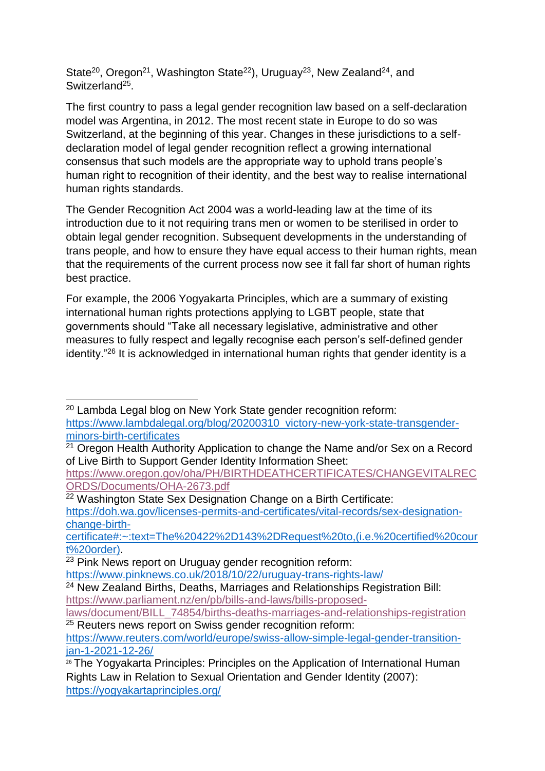State<sup>20</sup>, Oregon<sup>21</sup>, Washington State<sup>22</sup>), Uruguay<sup>23</sup>, New Zealand<sup>24</sup>, and Switzerland<sup>25</sup>.

The first country to pass a legal gender recognition law based on a self-declaration model was Argentina, in 2012. The most recent state in Europe to do so was Switzerland, at the beginning of this year. Changes in these jurisdictions to a selfdeclaration model of legal gender recognition reflect a growing international consensus that such models are the appropriate way to uphold trans people's human right to recognition of their identity, and the best way to realise international human rights standards.

The Gender Recognition Act 2004 was a world-leading law at the time of its introduction due to it not requiring trans men or women to be sterilised in order to obtain legal gender recognition. Subsequent developments in the understanding of trans people, and how to ensure they have equal access to their human rights, mean that the requirements of the current process now see it fall far short of human rights best practice.

For example, the 2006 Yogyakarta Principles, which are a summary of existing international human rights protections applying to LGBT people, state that governments should "Take all necessary legislative, administrative and other measures to fully respect and legally recognise each person's self-defined gender identity."<sup>26</sup> It is acknowledged in international human rights that gender identity is a

 $\overline{a}$ <sup>20</sup> Lambda Legal blog on New York State gender recognition reform: [https://www.lambdalegal.org/blog/20200310\\_victory-new-york-state-transgender](https://www.lambdalegal.org/blog/20200310_victory-new-york-state-transgender-minors-birth-certificates)[minors-birth-certificates](https://www.lambdalegal.org/blog/20200310_victory-new-york-state-transgender-minors-birth-certificates) 

[https://www.oregon.gov/oha/PH/BIRTHDEATHCERTIFICATES/CHANGEVITALREC](https://www.oregon.gov/oha/PH/BIRTHDEATHCERTIFICATES/CHANGEVITALRECORDS/Documents/OHA-2673.pdf) [ORDS/Documents/OHA-2673.pdf](https://www.oregon.gov/oha/PH/BIRTHDEATHCERTIFICATES/CHANGEVITALRECORDS/Documents/OHA-2673.pdf)

[certificate#:~:text=The%20422%2D143%2DRequest%20to,\(i.e.%20certified%20cour](https://doh.wa.gov/licenses-permits-and-certificates/vital-records/sex-designation-change-birth-certificate#:~:text=The%20422%2D143%2DRequest%20to,(i.e.%20certified%20court%20order)) [t%20order\).](https://doh.wa.gov/licenses-permits-and-certificates/vital-records/sex-designation-change-birth-certificate#:~:text=The%20422%2D143%2DRequest%20to,(i.e.%20certified%20court%20order))

<sup>&</sup>lt;sup>21</sup> Oregon Health Authority Application to change the Name and/or Sex on a Record of Live Birth to Support Gender Identity Information Sheet:

<sup>&</sup>lt;sup>22</sup> Washington State Sex Designation Change on a Birth Certificate: [https://doh.wa.gov/licenses-permits-and-certificates/vital-records/sex-designation](https://doh.wa.gov/licenses-permits-and-certificates/vital-records/sex-designation-change-birth-certificate#:~:text=The%20422%2D143%2DRequest%20to,(i.e.%20certified%20court%20order))[change-birth-](https://doh.wa.gov/licenses-permits-and-certificates/vital-records/sex-designation-change-birth-certificate#:~:text=The%20422%2D143%2DRequest%20to,(i.e.%20certified%20court%20order))

<sup>23</sup> Pink News report on Uruguay gender recognition reform:

<https://www.pinknews.co.uk/2018/10/22/uruguay-trans-rights-law/>

<sup>&</sup>lt;sup>24</sup> New Zealand Births, Deaths, Marriages and Relationships Registration Bill: [https://www.parliament.nz/en/pb/bills-and-laws/bills-proposed-](https://www.parliament.nz/en/pb/bills-and-laws/bills-proposed-laws/document/BILL_74854/births-deaths-marriages-and-relationships-registration)

[laws/document/BILL\\_74854/births-deaths-marriages-and-relationships-registration](https://www.parliament.nz/en/pb/bills-and-laws/bills-proposed-laws/document/BILL_74854/births-deaths-marriages-and-relationships-registration) <sup>25</sup> Reuters news report on Swiss gender recognition reform:

[https://www.reuters.com/world/europe/swiss-allow-simple-legal-gender-transition](https://www.reuters.com/world/europe/swiss-allow-simple-legal-gender-transition-jan-1-2021-12-26/)[jan-1-2021-12-26/](https://www.reuters.com/world/europe/swiss-allow-simple-legal-gender-transition-jan-1-2021-12-26/)

<sup>26</sup> The Yogyakarta Principles: Principles on the Application of International Human Rights Law in Relation to Sexual Orientation and Gender Identity (2007): <https://yogyakartaprinciples.org/>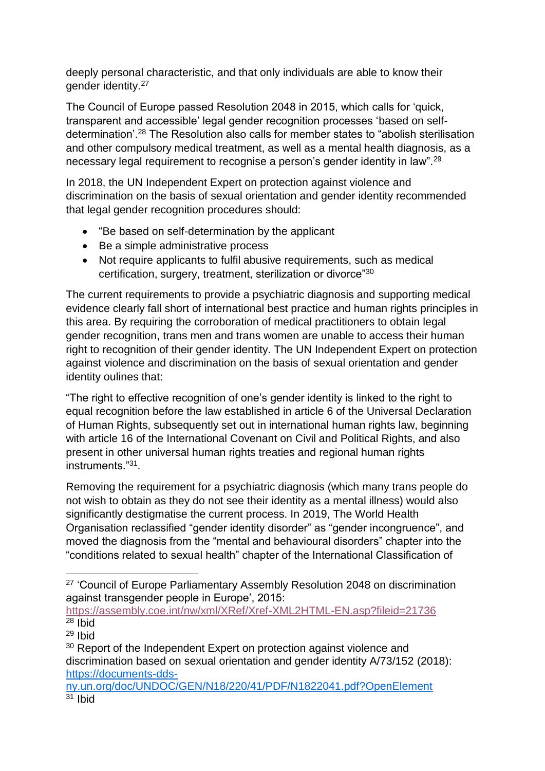deeply personal characteristic, and that only individuals are able to know their gender identity.<sup>27</sup>

The Council of Europe passed Resolution 2048 in 2015, which calls for 'quick, transparent and accessible' legal gender recognition processes 'based on selfdetermination'.<sup>28</sup> The Resolution also calls for member states to "abolish sterilisation and other compulsory medical treatment, as well as a mental health diagnosis, as a necessary legal requirement to recognise a person's gender identity in law".<sup>29</sup>

In 2018, the UN Independent Expert on protection against violence and discrimination on the basis of sexual orientation and gender identity recommended that legal gender recognition procedures should:

- "Be based on self-determination by the applicant
- Be a simple administrative process
- Not require applicants to fulfil abusive requirements, such as medical certification, surgery, treatment, sterilization or divorce"<sup>30</sup>

The current requirements to provide a psychiatric diagnosis and supporting medical evidence clearly fall short of international best practice and human rights principles in this area. By requiring the corroboration of medical practitioners to obtain legal gender recognition, trans men and trans women are unable to access their human right to recognition of their gender identity. The UN Independent Expert on protection against violence and discrimination on the basis of sexual orientation and gender identity oulines that:

"The right to effective recognition of one's gender identity is linked to the right to equal recognition before the law established in article 6 of the Universal Declaration of Human Rights, subsequently set out in international human rights law, beginning with article 16 of the International Covenant on Civil and Political Rights, and also present in other universal human rights treaties and regional human rights instruments."<sup>31</sup> .

Removing the requirement for a psychiatric diagnosis (which many trans people do not wish to obtain as they do not see their identity as a mental illness) would also significantly destigmatise the current process. In 2019, The World Health Organisation reclassified "gender identity disorder" as "gender incongruence", and moved the diagnosis from the "mental and behavioural disorders" chapter into the "conditions related to sexual health" chapter of the International Classification of

<https://assembly.coe.int/nw/xml/XRef/Xref-XML2HTML-EN.asp?fileid=21736>  $28$  Ibid

**<sup>.</sup>** <sup>27</sup> 'Council of Europe Parliamentary Assembly Resolution 2048 on discrimination against transgender people in Europe', 2015:

<sup>29</sup> Ibid

<sup>&</sup>lt;sup>30</sup> Report of the Independent Expert on protection against violence and discrimination based on sexual orientation and gender identity A/73/152 (2018): [https://documents-dds-](https://documents-dds-ny.un.org/doc/UNDOC/GEN/N18/220/41/PDF/N1822041.pdf?OpenElement)

[ny.un.org/doc/UNDOC/GEN/N18/220/41/PDF/N1822041.pdf?OpenElement](https://documents-dds-ny.un.org/doc/UNDOC/GEN/N18/220/41/PDF/N1822041.pdf?OpenElement)  $31$  Ibid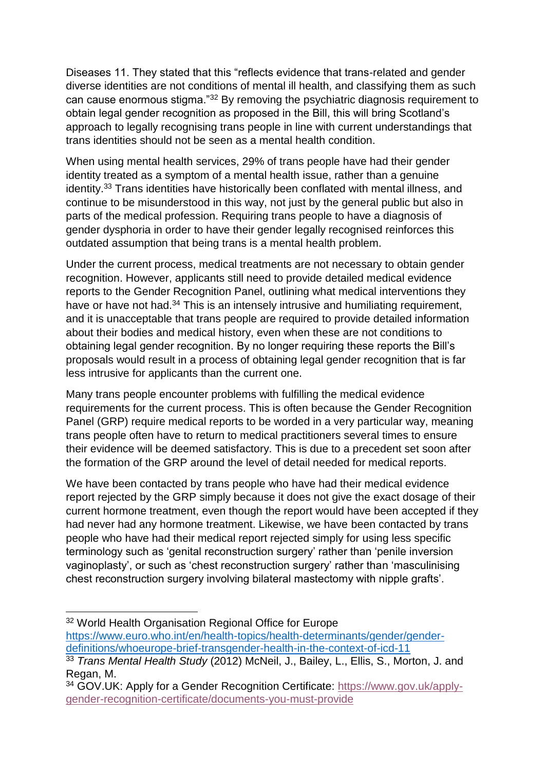Diseases 11. They stated that this "reflects evidence that trans-related and gender diverse identities are not conditions of mental ill health, and classifying them as such can cause enormous stigma."<sup>32</sup> By removing the psychiatric diagnosis requirement to obtain legal gender recognition as proposed in the Bill, this will bring Scotland's approach to legally recognising trans people in line with current understandings that trans identities should not be seen as a mental health condition.

When using mental health services, 29% of trans people have had their gender identity treated as a symptom of a mental health issue, rather than a genuine identity.<sup>33</sup> Trans identities have historically been conflated with mental illness, and continue to be misunderstood in this way, not just by the general public but also in parts of the medical profession. Requiring trans people to have a diagnosis of gender dysphoria in order to have their gender legally recognised reinforces this outdated assumption that being trans is a mental health problem.

Under the current process, medical treatments are not necessary to obtain gender recognition. However, applicants still need to provide detailed medical evidence reports to the Gender Recognition Panel, outlining what medical interventions they have or have not had.<sup>34</sup> This is an intensely intrusive and humiliating requirement, and it is unacceptable that trans people are required to provide detailed information about their bodies and medical history, even when these are not conditions to obtaining legal gender recognition. By no longer requiring these reports the Bill's proposals would result in a process of obtaining legal gender recognition that is far less intrusive for applicants than the current one.

Many trans people encounter problems with fulfilling the medical evidence requirements for the current process. This is often because the Gender Recognition Panel (GRP) require medical reports to be worded in a very particular way, meaning trans people often have to return to medical practitioners several times to ensure their evidence will be deemed satisfactory. This is due to a precedent set soon after the formation of the GRP around the level of detail needed for medical reports.

We have been contacted by trans people who have had their medical evidence report rejected by the GRP simply because it does not give the exact dosage of their current hormone treatment, even though the report would have been accepted if they had never had any hormone treatment. Likewise, we have been contacted by trans people who have had their medical report rejected simply for using less specific terminology such as 'genital reconstruction surgery' rather than 'penile inversion vaginoplasty', or such as 'chest reconstruction surgery' rather than 'masculinising chest reconstruction surgery involving bilateral mastectomy with nipple grafts'.

**.** <sup>32</sup> World Health Organisation Regional Office for Europe [https://www.euro.who.int/en/health-topics/health-determinants/gender/gender](https://www.euro.who.int/en/health-topics/health-determinants/gender/gender-definitions/whoeurope-brief-transgender-health-in-the-context-of-icd-11)[definitions/whoeurope-brief-transgender-health-in-the-context-of-icd-11](https://www.euro.who.int/en/health-topics/health-determinants/gender/gender-definitions/whoeurope-brief-transgender-health-in-the-context-of-icd-11)

<sup>33</sup> *Trans Mental Health Study* (2012) McNeil, J., Bailey, L., Ellis, S., Morton, J. and Regan, M.

<sup>34</sup> GOV.UK: Apply for a Gender Recognition Certificate: [https://www.gov.uk/apply](https://www.gov.uk/apply-gender-recognition-certificate/documents-you-must-provide)[gender-recognition-certificate/documents-you-must-provide](https://www.gov.uk/apply-gender-recognition-certificate/documents-you-must-provide)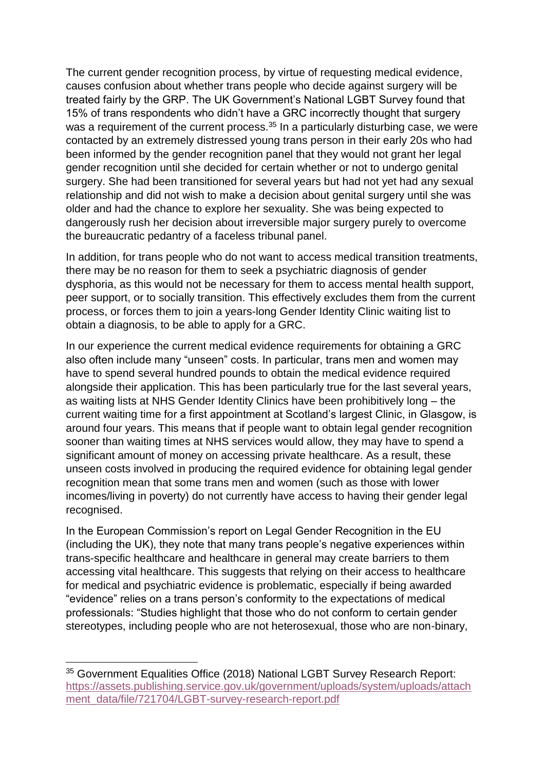The current gender recognition process, by virtue of requesting medical evidence, causes confusion about whether trans people who decide against surgery will be treated fairly by the GRP. The UK Government's National LGBT Survey found that 15% of trans respondents who didn't have a GRC incorrectly thought that surgery was a requirement of the current process.<sup>35</sup> In a particularly disturbing case, we were contacted by an extremely distressed young trans person in their early 20s who had been informed by the gender recognition panel that they would not grant her legal gender recognition until she decided for certain whether or not to undergo genital surgery. She had been transitioned for several years but had not yet had any sexual relationship and did not wish to make a decision about genital surgery until she was older and had the chance to explore her sexuality. She was being expected to dangerously rush her decision about irreversible major surgery purely to overcome the bureaucratic pedantry of a faceless tribunal panel.

In addition, for trans people who do not want to access medical transition treatments, there may be no reason for them to seek a psychiatric diagnosis of gender dysphoria, as this would not be necessary for them to access mental health support, peer support, or to socially transition. This effectively excludes them from the current process, or forces them to join a years-long Gender Identity Clinic waiting list to obtain a diagnosis, to be able to apply for a GRC.

In our experience the current medical evidence requirements for obtaining a GRC also often include many "unseen" costs. In particular, trans men and women may have to spend several hundred pounds to obtain the medical evidence required alongside their application. This has been particularly true for the last several years, as waiting lists at NHS Gender Identity Clinics have been prohibitively long – the current waiting time for a first appointment at Scotland's largest Clinic, in Glasgow, is around four years. This means that if people want to obtain legal gender recognition sooner than waiting times at NHS services would allow, they may have to spend a significant amount of money on accessing private healthcare. As a result, these unseen costs involved in producing the required evidence for obtaining legal gender recognition mean that some trans men and women (such as those with lower incomes/living in poverty) do not currently have access to having their gender legal recognised.

In the European Commission's report on Legal Gender Recognition in the EU (including the UK), they note that many trans people's negative experiences within trans-specific healthcare and healthcare in general may create barriers to them accessing vital healthcare. This suggests that relying on their access to healthcare for medical and psychiatric evidence is problematic, especially if being awarded "evidence" relies on a trans person's conformity to the expectations of medical professionals: "Studies highlight that those who do not conform to certain gender stereotypes, including people who are not heterosexual, those who are non-binary,

1

<sup>35</sup> Government Equalities Office (2018) National LGBT Survey Research Report: [https://assets.publishing.service.gov.uk/government/uploads/system/uploads/attach](https://assets.publishing.service.gov.uk/government/uploads/system/uploads/attachment_data/file/721704/LGBT-survey-research-report.pdf) [ment\\_data/file/721704/LGBT-survey-research-report.pdf](https://assets.publishing.service.gov.uk/government/uploads/system/uploads/attachment_data/file/721704/LGBT-survey-research-report.pdf)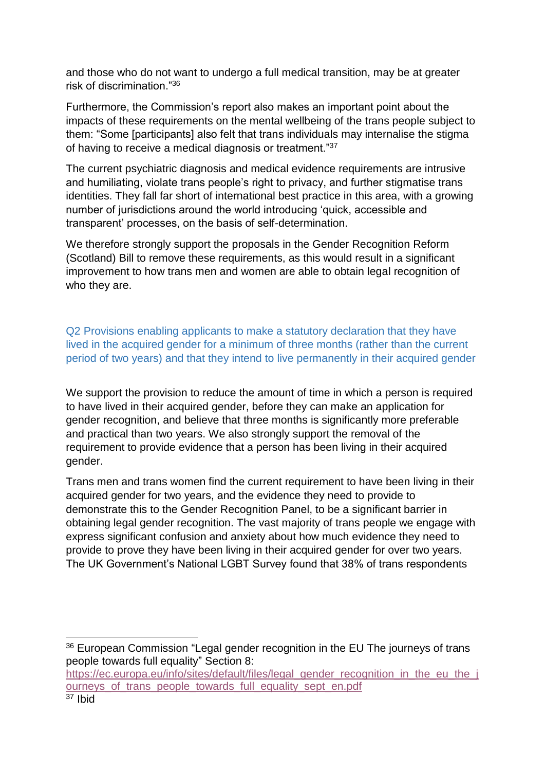and those who do not want to undergo a full medical transition, may be at greater risk of discrimination."<sup>36</sup>

Furthermore, the Commission's report also makes an important point about the impacts of these requirements on the mental wellbeing of the trans people subject to them: "Some [participants] also felt that trans individuals may internalise the stigma of having to receive a medical diagnosis or treatment."<sup>37</sup>

The current psychiatric diagnosis and medical evidence requirements are intrusive and humiliating, violate trans people's right to privacy, and further stigmatise trans identities. They fall far short of international best practice in this area, with a growing number of jurisdictions around the world introducing 'quick, accessible and transparent' processes, on the basis of self-determination.

We therefore strongly support the proposals in the Gender Recognition Reform (Scotland) Bill to remove these requirements, as this would result in a significant improvement to how trans men and women are able to obtain legal recognition of who they are.

Q2 Provisions enabling applicants to make a statutory declaration that they have lived in the acquired gender for a minimum of three months (rather than the current period of two years) and that they intend to live permanently in their acquired gender

We support the provision to reduce the amount of time in which a person is required to have lived in their acquired gender, before they can make an application for gender recognition, and believe that three months is significantly more preferable and practical than two years. We also strongly support the removal of the requirement to provide evidence that a person has been living in their acquired gender.

Trans men and trans women find the current requirement to have been living in their acquired gender for two years, and the evidence they need to provide to demonstrate this to the Gender Recognition Panel, to be a significant barrier in obtaining legal gender recognition. The vast majority of trans people we engage with express significant confusion and anxiety about how much evidence they need to provide to prove they have been living in their acquired gender for over two years. The UK Government's National LGBT Survey found that 38% of trans respondents

[https://ec.europa.eu/info/sites/default/files/legal\\_gender\\_recognition\\_in\\_the\\_eu\\_the\\_j](https://ec.europa.eu/info/sites/default/files/legal_gender_recognition_in_the_eu_the_journeys_of_trans_people_towards_full_equality_sept_en.pdf) ourneys of trans people towards full equality sept en.pdf

**.** 

<sup>&</sup>lt;sup>36</sup> European Commission "Legal gender recognition in the EU The journeys of trans people towards full equality" Section 8: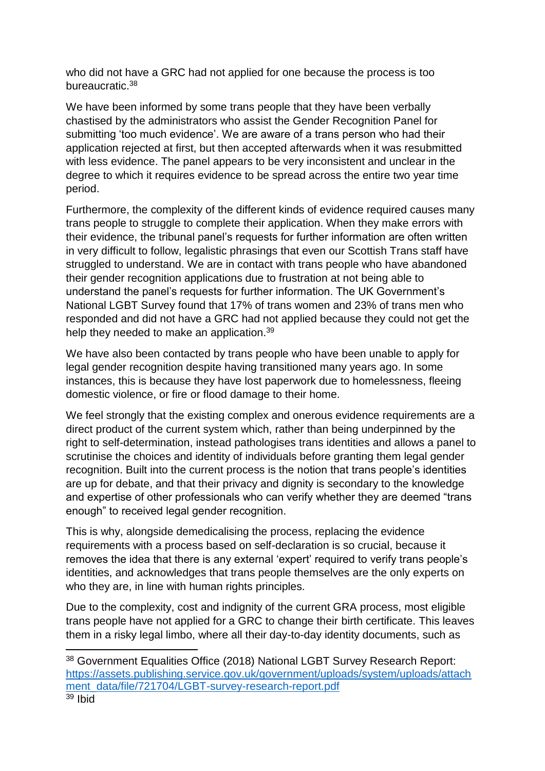who did not have a GRC had not applied for one because the process is too bureaucratic.<sup>38</sup>

We have been informed by some trans people that they have been verbally chastised by the administrators who assist the Gender Recognition Panel for submitting 'too much evidence'. We are aware of a trans person who had their application rejected at first, but then accepted afterwards when it was resubmitted with less evidence. The panel appears to be very inconsistent and unclear in the degree to which it requires evidence to be spread across the entire two year time period.

Furthermore, the complexity of the different kinds of evidence required causes many trans people to struggle to complete their application. When they make errors with their evidence, the tribunal panel's requests for further information are often written in very difficult to follow, legalistic phrasings that even our Scottish Trans staff have struggled to understand. We are in contact with trans people who have abandoned their gender recognition applications due to frustration at not being able to understand the panel's requests for further information. The UK Government's National LGBT Survey found that 17% of trans women and 23% of trans men who responded and did not have a GRC had not applied because they could not get the help they needed to make an application.<sup>39</sup>

We have also been contacted by trans people who have been unable to apply for legal gender recognition despite having transitioned many years ago. In some instances, this is because they have lost paperwork due to homelessness, fleeing domestic violence, or fire or flood damage to their home.

We feel strongly that the existing complex and onerous evidence requirements are a direct product of the current system which, rather than being underpinned by the right to self-determination, instead pathologises trans identities and allows a panel to scrutinise the choices and identity of individuals before granting them legal gender recognition. Built into the current process is the notion that trans people's identities are up for debate, and that their privacy and dignity is secondary to the knowledge and expertise of other professionals who can verify whether they are deemed "trans enough" to received legal gender recognition.

This is why, alongside demedicalising the process, replacing the evidence requirements with a process based on self-declaration is so crucial, because it removes the idea that there is any external 'expert' required to verify trans people's identities, and acknowledges that trans people themselves are the only experts on who they are, in line with human rights principles.

Due to the complexity, cost and indignity of the current GRA process, most eligible trans people have not applied for a GRC to change their birth certificate. This leaves them in a risky legal limbo, where all their day-to-day identity documents, such as

 $\overline{a}$ 

<sup>38</sup> Government Equalities Office (2018) National LGBT Survey Research Report: [https://assets.publishing.service.gov.uk/government/uploads/system/uploads/attach](https://assets.publishing.service.gov.uk/government/uploads/system/uploads/attachment_data/file/721704/LGBT-survey-research-report.pdf) [ment\\_data/file/721704/LGBT-survey-research-report.pdf](https://assets.publishing.service.gov.uk/government/uploads/system/uploads/attachment_data/file/721704/LGBT-survey-research-report.pdf)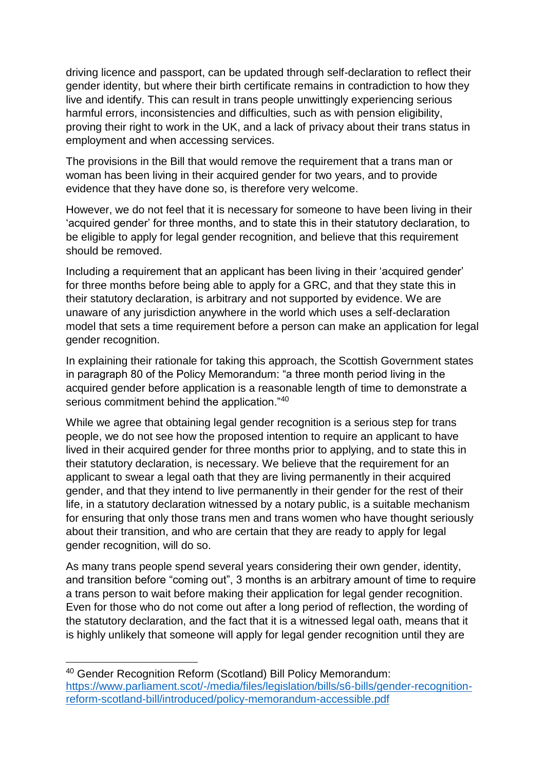driving licence and passport, can be updated through self-declaration to reflect their gender identity, but where their birth certificate remains in contradiction to how they live and identify. This can result in trans people unwittingly experiencing serious harmful errors, inconsistencies and difficulties, such as with pension eligibility, proving their right to work in the UK, and a lack of privacy about their trans status in employment and when accessing services.

The provisions in the Bill that would remove the requirement that a trans man or woman has been living in their acquired gender for two years, and to provide evidence that they have done so, is therefore very welcome.

However, we do not feel that it is necessary for someone to have been living in their 'acquired gender' for three months, and to state this in their statutory declaration, to be eligible to apply for legal gender recognition, and believe that this requirement should be removed.

Including a requirement that an applicant has been living in their 'acquired gender' for three months before being able to apply for a GRC, and that they state this in their statutory declaration, is arbitrary and not supported by evidence. We are unaware of any jurisdiction anywhere in the world which uses a self-declaration model that sets a time requirement before a person can make an application for legal gender recognition.

In explaining their rationale for taking this approach, the Scottish Government states in paragraph 80 of the Policy Memorandum: "a three month period living in the acquired gender before application is a reasonable length of time to demonstrate a serious commitment behind the application."<sup>40</sup>

While we agree that obtaining legal gender recognition is a serious step for trans people, we do not see how the proposed intention to require an applicant to have lived in their acquired gender for three months prior to applying, and to state this in their statutory declaration, is necessary. We believe that the requirement for an applicant to swear a legal oath that they are living permanently in their acquired gender, and that they intend to live permanently in their gender for the rest of their life, in a statutory declaration witnessed by a notary public, is a suitable mechanism for ensuring that only those trans men and trans women who have thought seriously about their transition, and who are certain that they are ready to apply for legal gender recognition, will do so.

As many trans people spend several years considering their own gender, identity, and transition before "coming out", 3 months is an arbitrary amount of time to require a trans person to wait before making their application for legal gender recognition. Even for those who do not come out after a long period of reflection, the wording of the statutory declaration, and the fact that it is a witnessed legal oath, means that it is highly unlikely that someone will apply for legal gender recognition until they are

1

<sup>40</sup> Gender Recognition Reform (Scotland) Bill Policy Memorandum: [https://www.parliament.scot/-/media/files/legislation/bills/s6-bills/gender-recognition](https://www.parliament.scot/-/media/files/legislation/bills/s6-bills/gender-recognition-reform-scotland-bill/introduced/policy-memorandum-accessible.pdf)[reform-scotland-bill/introduced/policy-memorandum-accessible.pdf](https://www.parliament.scot/-/media/files/legislation/bills/s6-bills/gender-recognition-reform-scotland-bill/introduced/policy-memorandum-accessible.pdf)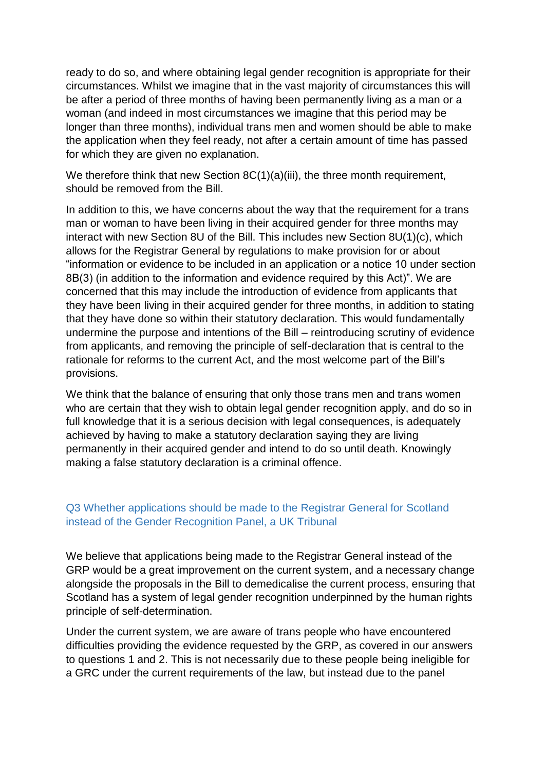ready to do so, and where obtaining legal gender recognition is appropriate for their circumstances. Whilst we imagine that in the vast majority of circumstances this will be after a period of three months of having been permanently living as a man or a woman (and indeed in most circumstances we imagine that this period may be longer than three months), individual trans men and women should be able to make the application when they feel ready, not after a certain amount of time has passed for which they are given no explanation.

We therefore think that new Section 8C(1)(a)(iii), the three month requirement, should be removed from the Bill.

In addition to this, we have concerns about the way that the requirement for a trans man or woman to have been living in their acquired gender for three months may interact with new Section 8U of the Bill. This includes new Section 8U(1)(c), which allows for the Registrar General by regulations to make provision for or about "information or evidence to be included in an application or a notice 10 under section 8B(3) (in addition to the information and evidence required by this Act)". We are concerned that this may include the introduction of evidence from applicants that they have been living in their acquired gender for three months, in addition to stating that they have done so within their statutory declaration. This would fundamentally undermine the purpose and intentions of the Bill – reintroducing scrutiny of evidence from applicants, and removing the principle of self-declaration that is central to the rationale for reforms to the current Act, and the most welcome part of the Bill's provisions.

We think that the balance of ensuring that only those trans men and trans women who are certain that they wish to obtain legal gender recognition apply, and do so in full knowledge that it is a serious decision with legal consequences, is adequately achieved by having to make a statutory declaration saying they are living permanently in their acquired gender and intend to do so until death. Knowingly making a false statutory declaration is a criminal offence.

#### Q3 Whether applications should be made to the Registrar General for Scotland instead of the Gender Recognition Panel, a UK Tribunal

We believe that applications being made to the Registrar General instead of the GRP would be a great improvement on the current system, and a necessary change alongside the proposals in the Bill to demedicalise the current process, ensuring that Scotland has a system of legal gender recognition underpinned by the human rights principle of self-determination.

Under the current system, we are aware of trans people who have encountered difficulties providing the evidence requested by the GRP, as covered in our answers to questions 1 and 2. This is not necessarily due to these people being ineligible for a GRC under the current requirements of the law, but instead due to the panel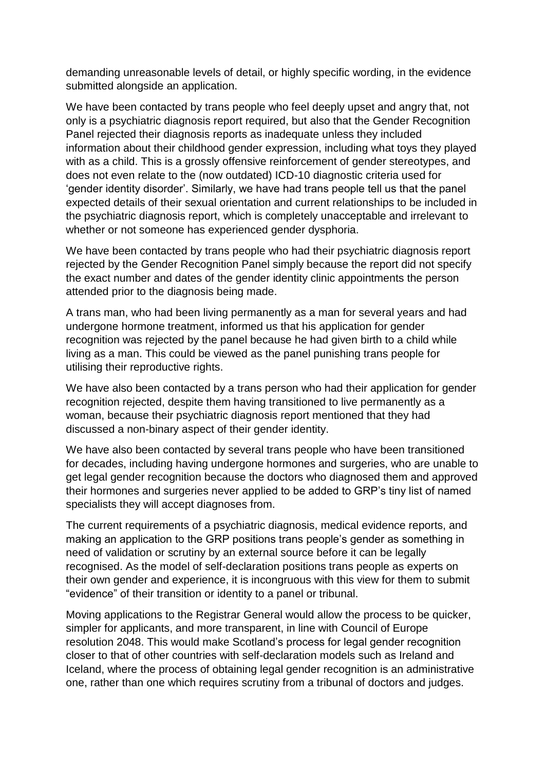demanding unreasonable levels of detail, or highly specific wording, in the evidence submitted alongside an application.

We have been contacted by trans people who feel deeply upset and angry that, not only is a psychiatric diagnosis report required, but also that the Gender Recognition Panel rejected their diagnosis reports as inadequate unless they included information about their childhood gender expression, including what toys they played with as a child. This is a grossly offensive reinforcement of gender stereotypes, and does not even relate to the (now outdated) ICD-10 diagnostic criteria used for 'gender identity disorder'. Similarly, we have had trans people tell us that the panel expected details of their sexual orientation and current relationships to be included in the psychiatric diagnosis report, which is completely unacceptable and irrelevant to whether or not someone has experienced gender dysphoria.

We have been contacted by trans people who had their psychiatric diagnosis report rejected by the Gender Recognition Panel simply because the report did not specify the exact number and dates of the gender identity clinic appointments the person attended prior to the diagnosis being made.

A trans man, who had been living permanently as a man for several years and had undergone hormone treatment, informed us that his application for gender recognition was rejected by the panel because he had given birth to a child while living as a man. This could be viewed as the panel punishing trans people for utilising their reproductive rights.

We have also been contacted by a trans person who had their application for gender recognition rejected, despite them having transitioned to live permanently as a woman, because their psychiatric diagnosis report mentioned that they had discussed a non-binary aspect of their gender identity.

We have also been contacted by several trans people who have been transitioned for decades, including having undergone hormones and surgeries, who are unable to get legal gender recognition because the doctors who diagnosed them and approved their hormones and surgeries never applied to be added to GRP's tiny list of named specialists they will accept diagnoses from.

The current requirements of a psychiatric diagnosis, medical evidence reports, and making an application to the GRP positions trans people's gender as something in need of validation or scrutiny by an external source before it can be legally recognised. As the model of self-declaration positions trans people as experts on their own gender and experience, it is incongruous with this view for them to submit "evidence" of their transition or identity to a panel or tribunal.

Moving applications to the Registrar General would allow the process to be quicker, simpler for applicants, and more transparent, in line with Council of Europe resolution 2048. This would make Scotland's process for legal gender recognition closer to that of other countries with self-declaration models such as Ireland and Iceland, where the process of obtaining legal gender recognition is an administrative one, rather than one which requires scrutiny from a tribunal of doctors and judges.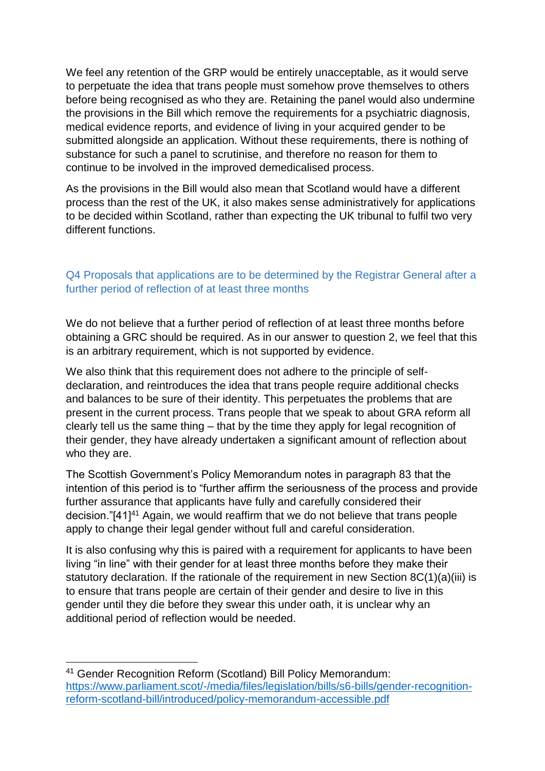We feel any retention of the GRP would be entirely unacceptable, as it would serve to perpetuate the idea that trans people must somehow prove themselves to others before being recognised as who they are. Retaining the panel would also undermine the provisions in the Bill which remove the requirements for a psychiatric diagnosis, medical evidence reports, and evidence of living in your acquired gender to be submitted alongside an application. Without these requirements, there is nothing of substance for such a panel to scrutinise, and therefore no reason for them to continue to be involved in the improved demedicalised process.

As the provisions in the Bill would also mean that Scotland would have a different process than the rest of the UK, it also makes sense administratively for applications to be decided within Scotland, rather than expecting the UK tribunal to fulfil two very different functions.

## Q4 Proposals that applications are to be determined by the Registrar General after a further period of reflection of at least three months

We do not believe that a further period of reflection of at least three months before obtaining a GRC should be required. As in our answer to question 2, we feel that this is an arbitrary requirement, which is not supported by evidence.

We also think that this requirement does not adhere to the principle of selfdeclaration, and reintroduces the idea that trans people require additional checks and balances to be sure of their identity. This perpetuates the problems that are present in the current process. Trans people that we speak to about GRA reform all clearly tell us the same thing – that by the time they apply for legal recognition of their gender, they have already undertaken a significant amount of reflection about who they are.

The Scottish Government's Policy Memorandum notes in paragraph 83 that the intention of this period is to "further affirm the seriousness of the process and provide further assurance that applicants have fully and carefully considered their decision."[41]<sup>41</sup> Again, we would reaffirm that we do not believe that trans people apply to change their legal gender without full and careful consideration.

It is also confusing why this is paired with a requirement for applicants to have been living "in line" with their gender for at least three months before they make their statutory declaration. If the rationale of the requirement in new Section 8C(1)(a)(iii) is to ensure that trans people are certain of their gender and desire to live in this gender until they die before they swear this under oath, it is unclear why an additional period of reflection would be needed.

1

<sup>41</sup> Gender Recognition Reform (Scotland) Bill Policy Memorandum: [https://www.parliament.scot/-/media/files/legislation/bills/s6-bills/gender-recognition](https://www.parliament.scot/-/media/files/legislation/bills/s6-bills/gender-recognition-reform-scotland-bill/introduced/policy-memorandum-accessible.pdf)[reform-scotland-bill/introduced/policy-memorandum-accessible.pdf](https://www.parliament.scot/-/media/files/legislation/bills/s6-bills/gender-recognition-reform-scotland-bill/introduced/policy-memorandum-accessible.pdf)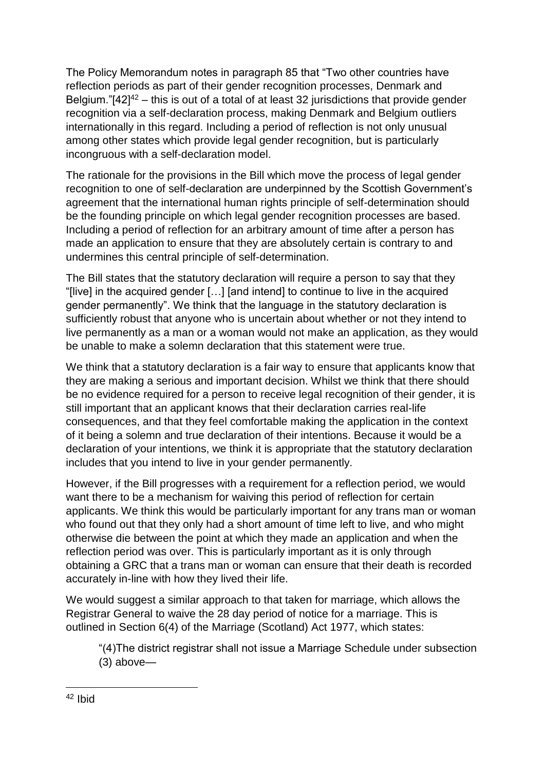The Policy Memorandum notes in paragraph 85 that "Two other countries have reflection periods as part of their gender recognition processes, Denmark and Belgium." $[42]^{42}$  – this is out of a total of at least 32 jurisdictions that provide gender recognition via a self-declaration process, making Denmark and Belgium outliers internationally in this regard. Including a period of reflection is not only unusual among other states which provide legal gender recognition, but is particularly incongruous with a self-declaration model.

The rationale for the provisions in the Bill which move the process of legal gender recognition to one of self-declaration are underpinned by the Scottish Government's agreement that the international human rights principle of self-determination should be the founding principle on which legal gender recognition processes are based. Including a period of reflection for an arbitrary amount of time after a person has made an application to ensure that they are absolutely certain is contrary to and undermines this central principle of self-determination.

The Bill states that the statutory declaration will require a person to say that they "[live] in the acquired gender […] [and intend] to continue to live in the acquired gender permanently". We think that the language in the statutory declaration is sufficiently robust that anyone who is uncertain about whether or not they intend to live permanently as a man or a woman would not make an application, as they would be unable to make a solemn declaration that this statement were true.

We think that a statutory declaration is a fair way to ensure that applicants know that they are making a serious and important decision. Whilst we think that there should be no evidence required for a person to receive legal recognition of their gender, it is still important that an applicant knows that their declaration carries real-life consequences, and that they feel comfortable making the application in the context of it being a solemn and true declaration of their intentions. Because it would be a declaration of your intentions, we think it is appropriate that the statutory declaration includes that you intend to live in your gender permanently.

However, if the Bill progresses with a requirement for a reflection period, we would want there to be a mechanism for waiving this period of reflection for certain applicants. We think this would be particularly important for any trans man or woman who found out that they only had a short amount of time left to live, and who might otherwise die between the point at which they made an application and when the reflection period was over. This is particularly important as it is only through obtaining a GRC that a trans man or woman can ensure that their death is recorded accurately in-line with how they lived their life.

We would suggest a similar approach to that taken for marriage, which allows the Registrar General to waive the 28 day period of notice for a marriage. This is outlined in Section 6(4) of the Marriage (Scotland) Act 1977, which states:

"(4)The district registrar shall not issue a Marriage Schedule under subsection (3) above—

**.** 

<sup>42</sup> Ibid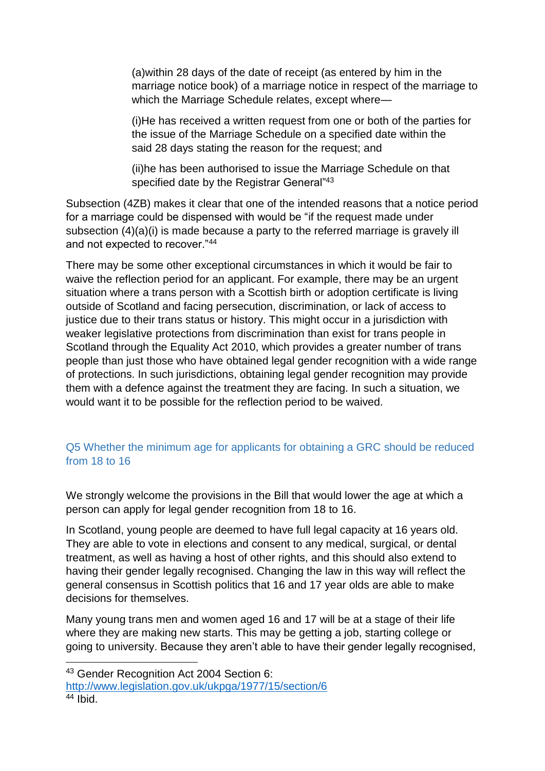(a)within 28 days of the date of receipt (as entered by him in the marriage notice book) of a marriage notice in respect of the marriage to which the Marriage Schedule relates, except where—

(i)He has received a written request from one or both of the parties for the issue of the Marriage Schedule on a specified date within the said 28 days stating the reason for the request; and

(ii)he has been authorised to issue the Marriage Schedule on that specified date by the Registrar General"<sup>43</sup>

Subsection (4ZB) makes it clear that one of the intended reasons that a notice period for a marriage could be dispensed with would be "if the request made under subsection (4)(a)(i) is made because a party to the referred marriage is gravely ill and not expected to recover."<sup>44</sup>

There may be some other exceptional circumstances in which it would be fair to waive the reflection period for an applicant. For example, there may be an urgent situation where a trans person with a Scottish birth or adoption certificate is living outside of Scotland and facing persecution, discrimination, or lack of access to justice due to their trans status or history. This might occur in a jurisdiction with weaker legislative protections from discrimination than exist for trans people in Scotland through the Equality Act 2010, which provides a greater number of trans people than just those who have obtained legal gender recognition with a wide range of protections. In such jurisdictions, obtaining legal gender recognition may provide them with a defence against the treatment they are facing. In such a situation, we would want it to be possible for the reflection period to be waived.

# Q5 Whether the minimum age for applicants for obtaining a GRC should be reduced from 18 to 16

We strongly welcome the provisions in the Bill that would lower the age at which a person can apply for legal gender recognition from 18 to 16.

In Scotland, young people are deemed to have full legal capacity at 16 years old. They are able to vote in elections and consent to any medical, surgical, or dental treatment, as well as having a host of other rights, and this should also extend to having their gender legally recognised. Changing the law in this way will reflect the general consensus in Scottish politics that 16 and 17 year olds are able to make decisions for themselves.

Many young trans men and women aged 16 and 17 will be at a stage of their life where they are making new starts. This may be getting a job, starting college or going to university. Because they aren't able to have their gender legally recognised,

<http://www.legislation.gov.uk/ukpga/1977/15/section/6>

<sup>1</sup> <sup>43</sup> Gender Recognition Act 2004 Section 6:

 $44$  Ibid.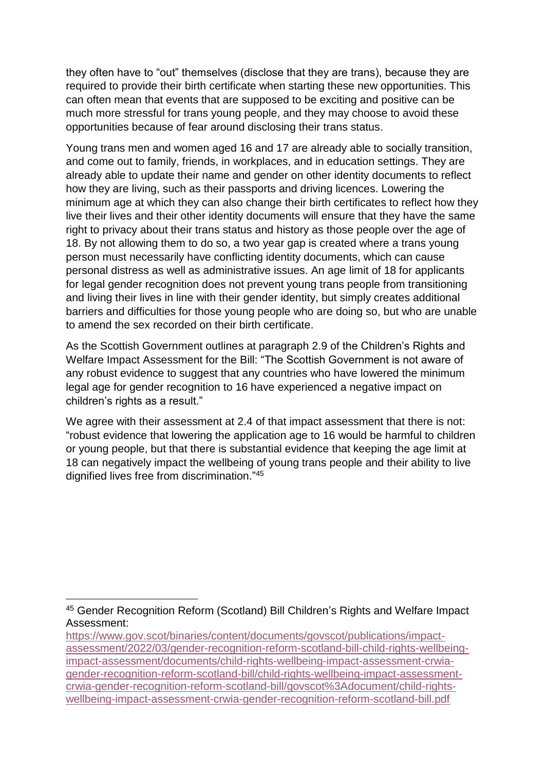they often have to "out" themselves (disclose that they are trans), because they are required to provide their birth certificate when starting these new opportunities. This can often mean that events that are supposed to be exciting and positive can be much more stressful for trans young people, and they may choose to avoid these opportunities because of fear around disclosing their trans status.

Young trans men and women aged 16 and 17 are already able to socially transition, and come out to family, friends, in workplaces, and in education settings. They are already able to update their name and gender on other identity documents to reflect how they are living, such as their passports and driving licences. Lowering the minimum age at which they can also change their birth certificates to reflect how they live their lives and their other identity documents will ensure that they have the same right to privacy about their trans status and history as those people over the age of 18. By not allowing them to do so, a two year gap is created where a trans young person must necessarily have conflicting identity documents, which can cause personal distress as well as administrative issues. An age limit of 18 for applicants for legal gender recognition does not prevent young trans people from transitioning and living their lives in line with their gender identity, but simply creates additional barriers and difficulties for those young people who are doing so, but who are unable to amend the sex recorded on their birth certificate.

As the Scottish Government outlines at paragraph 2.9 of the Children's Rights and Welfare Impact Assessment for the Bill: "The Scottish Government is not aware of any robust evidence to suggest that any countries who have lowered the minimum legal age for gender recognition to 16 have experienced a negative impact on children's rights as a result."

We agree with their assessment at 2.4 of that impact assessment that there is not: "robust evidence that lowering the application age to 16 would be harmful to children or young people, but that there is substantial evidence that keeping the age limit at 18 can negatively impact the wellbeing of young trans people and their ability to live dignified lives free from discrimination." 45

<sup>1</sup> <sup>45</sup> Gender Recognition Reform (Scotland) Bill Children's Rights and Welfare Impact Assessment:

[https://www.gov.scot/binaries/content/documents/govscot/publications/impact](https://www.gov.scot/binaries/content/documents/govscot/publications/impact-assessment/2022/03/gender-recognition-reform-scotland-bill-child-rights-wellbeing-impact-assessment/documents/child-rights-wellbeing-impact-assessment-crwia-gender-recognition-reform-scotland-bill/child-rights-wellbeing-impact-assessment-crwia-gender-recognition-reform-scotland-bill/govscot%3Adocument/child-rights-wellbeing-impact-assessment-crwia-gender-recognition-reform-scotland-bill.pdf)[assessment/2022/03/gender-recognition-reform-scotland-bill-child-rights-wellbeing](https://www.gov.scot/binaries/content/documents/govscot/publications/impact-assessment/2022/03/gender-recognition-reform-scotland-bill-child-rights-wellbeing-impact-assessment/documents/child-rights-wellbeing-impact-assessment-crwia-gender-recognition-reform-scotland-bill/child-rights-wellbeing-impact-assessment-crwia-gender-recognition-reform-scotland-bill/govscot%3Adocument/child-rights-wellbeing-impact-assessment-crwia-gender-recognition-reform-scotland-bill.pdf)[impact-assessment/documents/child-rights-wellbeing-impact-assessment-crwia](https://www.gov.scot/binaries/content/documents/govscot/publications/impact-assessment/2022/03/gender-recognition-reform-scotland-bill-child-rights-wellbeing-impact-assessment/documents/child-rights-wellbeing-impact-assessment-crwia-gender-recognition-reform-scotland-bill/child-rights-wellbeing-impact-assessment-crwia-gender-recognition-reform-scotland-bill/govscot%3Adocument/child-rights-wellbeing-impact-assessment-crwia-gender-recognition-reform-scotland-bill.pdf)[gender-recognition-reform-scotland-bill/child-rights-wellbeing-impact-assessment](https://www.gov.scot/binaries/content/documents/govscot/publications/impact-assessment/2022/03/gender-recognition-reform-scotland-bill-child-rights-wellbeing-impact-assessment/documents/child-rights-wellbeing-impact-assessment-crwia-gender-recognition-reform-scotland-bill/child-rights-wellbeing-impact-assessment-crwia-gender-recognition-reform-scotland-bill/govscot%3Adocument/child-rights-wellbeing-impact-assessment-crwia-gender-recognition-reform-scotland-bill.pdf)[crwia-gender-recognition-reform-scotland-bill/govscot%3Adocument/child-rights](https://www.gov.scot/binaries/content/documents/govscot/publications/impact-assessment/2022/03/gender-recognition-reform-scotland-bill-child-rights-wellbeing-impact-assessment/documents/child-rights-wellbeing-impact-assessment-crwia-gender-recognition-reform-scotland-bill/child-rights-wellbeing-impact-assessment-crwia-gender-recognition-reform-scotland-bill/govscot%3Adocument/child-rights-wellbeing-impact-assessment-crwia-gender-recognition-reform-scotland-bill.pdf)[wellbeing-impact-assessment-crwia-gender-recognition-reform-scotland-bill.pdf](https://www.gov.scot/binaries/content/documents/govscot/publications/impact-assessment/2022/03/gender-recognition-reform-scotland-bill-child-rights-wellbeing-impact-assessment/documents/child-rights-wellbeing-impact-assessment-crwia-gender-recognition-reform-scotland-bill/child-rights-wellbeing-impact-assessment-crwia-gender-recognition-reform-scotland-bill/govscot%3Adocument/child-rights-wellbeing-impact-assessment-crwia-gender-recognition-reform-scotland-bill.pdf)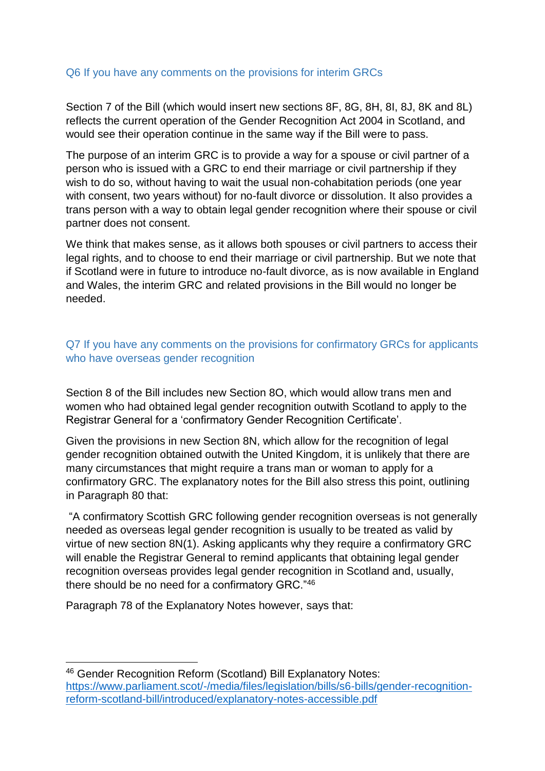#### Q6 If you have any comments on the provisions for interim GRCs

Section 7 of the Bill (which would insert new sections 8F, 8G, 8H, 8I, 8J, 8K and 8L) reflects the current operation of the Gender Recognition Act 2004 in Scotland, and would see their operation continue in the same way if the Bill were to pass.

The purpose of an interim GRC is to provide a way for a spouse or civil partner of a person who is issued with a GRC to end their marriage or civil partnership if they wish to do so, without having to wait the usual non-cohabitation periods (one year with consent, two years without) for no-fault divorce or dissolution. It also provides a trans person with a way to obtain legal gender recognition where their spouse or civil partner does not consent.

We think that makes sense, as it allows both spouses or civil partners to access their legal rights, and to choose to end their marriage or civil partnership. But we note that if Scotland were in future to introduce no-fault divorce, as is now available in England and Wales, the interim GRC and related provisions in the Bill would no longer be needed.

## Q7 If you have any comments on the provisions for confirmatory GRCs for applicants who have overseas gender recognition

Section 8 of the Bill includes new Section 8O, which would allow trans men and women who had obtained legal gender recognition outwith Scotland to apply to the Registrar General for a 'confirmatory Gender Recognition Certificate'.

Given the provisions in new Section 8N, which allow for the recognition of legal gender recognition obtained outwith the United Kingdom, it is unlikely that there are many circumstances that might require a trans man or woman to apply for a confirmatory GRC. The explanatory notes for the Bill also stress this point, outlining in Paragraph 80 that:

"A confirmatory Scottish GRC following gender recognition overseas is not generally needed as overseas legal gender recognition is usually to be treated as valid by virtue of new section 8N(1). Asking applicants why they require a confirmatory GRC will enable the Registrar General to remind applicants that obtaining legal gender recognition overseas provides legal gender recognition in Scotland and, usually, there should be no need for a confirmatory GRC."<sup>46</sup>

Paragraph 78 of the Explanatory Notes however, says that:

1

<sup>46</sup> Gender Recognition Reform (Scotland) Bill Explanatory Notes: [https://www.parliament.scot/-/media/files/legislation/bills/s6-bills/gender-recognition](https://www.parliament.scot/-/media/files/legislation/bills/s6-bills/gender-recognition-reform-scotland-bill/introduced/explanatory-notes-accessible.pdf)[reform-scotland-bill/introduced/explanatory-notes-accessible.pdf](https://www.parliament.scot/-/media/files/legislation/bills/s6-bills/gender-recognition-reform-scotland-bill/introduced/explanatory-notes-accessible.pdf)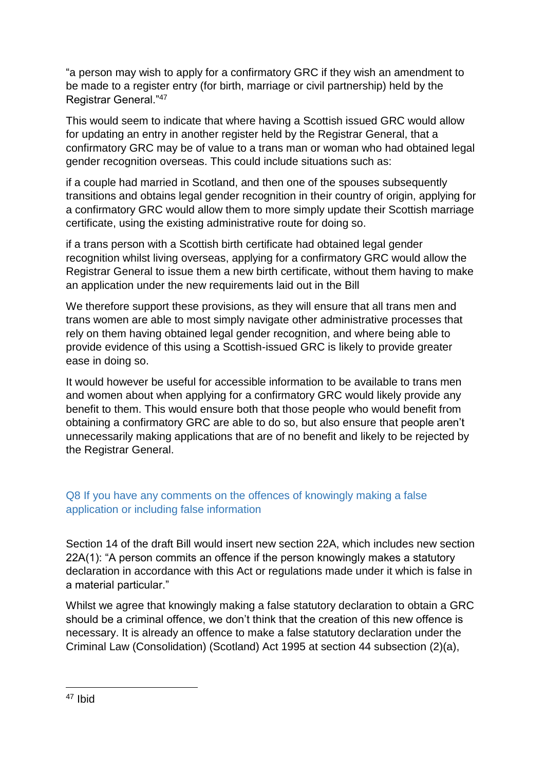"a person may wish to apply for a confirmatory GRC if they wish an amendment to be made to a register entry (for birth, marriage or civil partnership) held by the Registrar General."<sup>47</sup>

This would seem to indicate that where having a Scottish issued GRC would allow for updating an entry in another register held by the Registrar General, that a confirmatory GRC may be of value to a trans man or woman who had obtained legal gender recognition overseas. This could include situations such as:

if a couple had married in Scotland, and then one of the spouses subsequently transitions and obtains legal gender recognition in their country of origin, applying for a confirmatory GRC would allow them to more simply update their Scottish marriage certificate, using the existing administrative route for doing so.

if a trans person with a Scottish birth certificate had obtained legal gender recognition whilst living overseas, applying for a confirmatory GRC would allow the Registrar General to issue them a new birth certificate, without them having to make an application under the new requirements laid out in the Bill

We therefore support these provisions, as they will ensure that all trans men and trans women are able to most simply navigate other administrative processes that rely on them having obtained legal gender recognition, and where being able to provide evidence of this using a Scottish-issued GRC is likely to provide greater ease in doing so.

It would however be useful for accessible information to be available to trans men and women about when applying for a confirmatory GRC would likely provide any benefit to them. This would ensure both that those people who would benefit from obtaining a confirmatory GRC are able to do so, but also ensure that people aren't unnecessarily making applications that are of no benefit and likely to be rejected by the Registrar General.

# Q8 If you have any comments on the offences of knowingly making a false application or including false information

Section 14 of the draft Bill would insert new section 22A, which includes new section 22A(1): "A person commits an offence if the person knowingly makes a statutory declaration in accordance with this Act or regulations made under it which is false in a material particular."

Whilst we agree that knowingly making a false statutory declaration to obtain a GRC should be a criminal offence, we don't think that the creation of this new offence is necessary. It is already an offence to make a false statutory declaration under the Criminal Law (Consolidation) (Scotland) Act 1995 at section 44 subsection (2)(a),

**<sup>.</sup>** <sup>47</sup> Ibid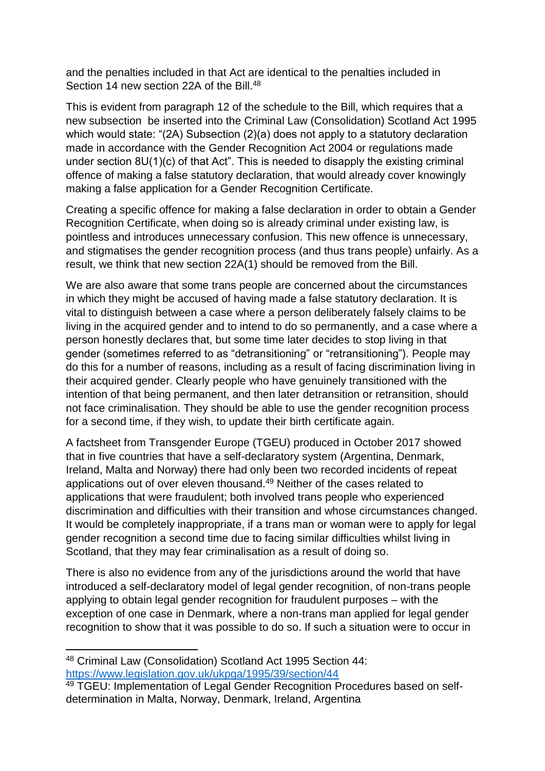and the penalties included in that Act are identical to the penalties included in Section 14 new section 22A of the Bill.<sup>48</sup>

This is evident from paragraph 12 of the schedule to the Bill, which requires that a new subsection be inserted into the Criminal Law (Consolidation) Scotland Act 1995 which would state: "(2A) Subsection (2)(a) does not apply to a statutory declaration made in accordance with the Gender Recognition Act 2004 or regulations made under section 8U(1)(c) of that Act". This is needed to disapply the existing criminal offence of making a false statutory declaration, that would already cover knowingly making a false application for a Gender Recognition Certificate.

Creating a specific offence for making a false declaration in order to obtain a Gender Recognition Certificate, when doing so is already criminal under existing law, is pointless and introduces unnecessary confusion. This new offence is unnecessary, and stigmatises the gender recognition process (and thus trans people) unfairly. As a result, we think that new section 22A(1) should be removed from the Bill.

We are also aware that some trans people are concerned about the circumstances in which they might be accused of having made a false statutory declaration. It is vital to distinguish between a case where a person deliberately falsely claims to be living in the acquired gender and to intend to do so permanently, and a case where a person honestly declares that, but some time later decides to stop living in that gender (sometimes referred to as "detransitioning" or "retransitioning"). People may do this for a number of reasons, including as a result of facing discrimination living in their acquired gender. Clearly people who have genuinely transitioned with the intention of that being permanent, and then later detransition or retransition, should not face criminalisation. They should be able to use the gender recognition process for a second time, if they wish, to update their birth certificate again.

A factsheet from Transgender Europe (TGEU) produced in October 2017 showed that in five countries that have a self-declaratory system (Argentina, Denmark, Ireland, Malta and Norway) there had only been two recorded incidents of repeat applications out of over eleven thousand.<sup>49</sup> Neither of the cases related to applications that were fraudulent; both involved trans people who experienced discrimination and difficulties with their transition and whose circumstances changed. It would be completely inappropriate, if a trans man or woman were to apply for legal gender recognition a second time due to facing similar difficulties whilst living in Scotland, that they may fear criminalisation as a result of doing so.

There is also no evidence from any of the jurisdictions around the world that have introduced a self-declaratory model of legal gender recognition, of non-trans people applying to obtain legal gender recognition for fraudulent purposes – with the exception of one case in Denmark, where a non-trans man applied for legal gender recognition to show that it was possible to do so. If such a situation were to occur in

 $\overline{a}$ 

<sup>48</sup> Criminal Law (Consolidation) Scotland Act 1995 Section 44: <https://www.legislation.gov.uk/ukpga/1995/39/section/44>

<sup>49</sup> TGEU: Implementation of Legal Gender Recognition Procedures based on selfdetermination in Malta, Norway, Denmark, Ireland, Argentina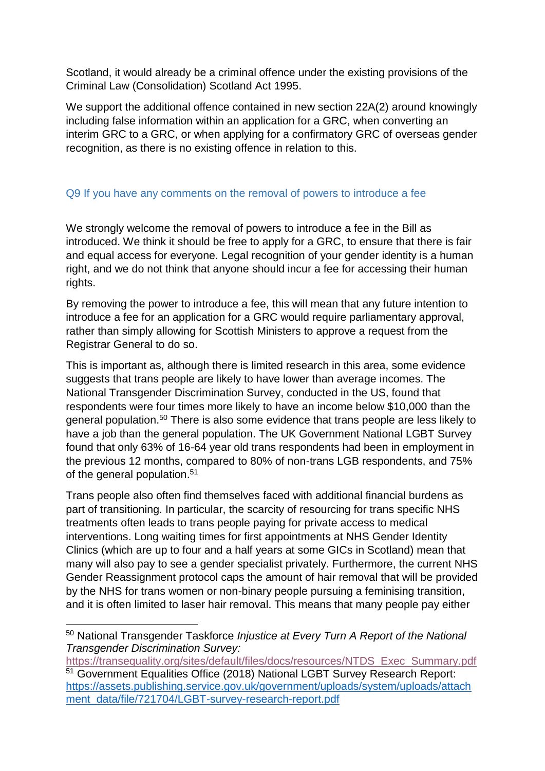Scotland, it would already be a criminal offence under the existing provisions of the Criminal Law (Consolidation) Scotland Act 1995.

We support the additional offence contained in new section 22A(2) around knowingly including false information within an application for a GRC, when converting an interim GRC to a GRC, or when applying for a confirmatory GRC of overseas gender recognition, as there is no existing offence in relation to this.

#### Q9 If you have any comments on the removal of powers to introduce a fee

We strongly welcome the removal of powers to introduce a fee in the Bill as introduced. We think it should be free to apply for a GRC, to ensure that there is fair and equal access for everyone. Legal recognition of your gender identity is a human right, and we do not think that anyone should incur a fee for accessing their human rights.

By removing the power to introduce a fee, this will mean that any future intention to introduce a fee for an application for a GRC would require parliamentary approval, rather than simply allowing for Scottish Ministers to approve a request from the Registrar General to do so.

This is important as, although there is limited research in this area, some evidence suggests that trans people are likely to have lower than average incomes. The National Transgender Discrimination Survey, conducted in the US, found that respondents were four times more likely to have an income below \$10,000 than the general population.<sup>50</sup> There is also some evidence that trans people are less likely to have a job than the general population. The UK Government National LGBT Survey found that only 63% of 16-64 year old trans respondents had been in employment in the previous 12 months, compared to 80% of non-trans LGB respondents, and 75% of the general population. 51

Trans people also often find themselves faced with additional financial burdens as part of transitioning. In particular, the scarcity of resourcing for trans specific NHS treatments often leads to trans people paying for private access to medical interventions. Long waiting times for first appointments at NHS Gender Identity Clinics (which are up to four and a half years at some GICs in Scotland) mean that many will also pay to see a gender specialist privately. Furthermore, the current NHS Gender Reassignment protocol caps the amount of hair removal that will be provided by the NHS for trans women or non-binary people pursuing a feminising transition, and it is often limited to laser hair removal. This means that many people pay either

**<sup>.</sup>** <sup>50</sup> National Transgender Taskforce *Injustice at Every Turn A Report of the National Transgender Discrimination Survey:*

[https://transequality.org/sites/default/files/docs/resources/NTDS\\_Exec\\_Summary.pdf](https://transequality.org/sites/default/files/docs/resources/NTDS_Exec_Summary.pdf) 51 Government Equalities Office (2018) National LGBT Survey Research Report: [https://assets.publishing.service.gov.uk/government/uploads/system/uploads/attach](https://assets.publishing.service.gov.uk/government/uploads/system/uploads/attachment_data/file/721704/LGBT-survey-research-report.pdf) [ment\\_data/file/721704/LGBT-survey-research-report.pdf](https://assets.publishing.service.gov.uk/government/uploads/system/uploads/attachment_data/file/721704/LGBT-survey-research-report.pdf)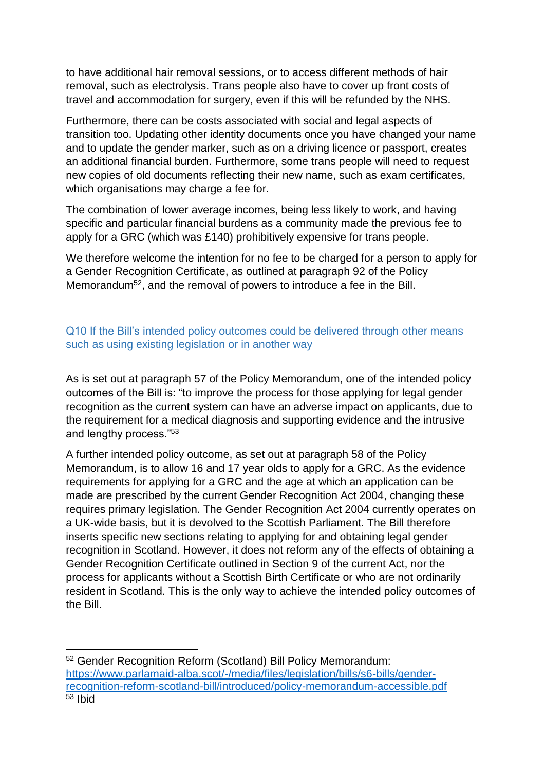to have additional hair removal sessions, or to access different methods of hair removal, such as electrolysis. Trans people also have to cover up front costs of travel and accommodation for surgery, even if this will be refunded by the NHS.

Furthermore, there can be costs associated with social and legal aspects of transition too. Updating other identity documents once you have changed your name and to update the gender marker, such as on a driving licence or passport, creates an additional financial burden. Furthermore, some trans people will need to request new copies of old documents reflecting their new name, such as exam certificates, which organisations may charge a fee for.

The combination of lower average incomes, being less likely to work, and having specific and particular financial burdens as a community made the previous fee to apply for a GRC (which was £140) prohibitively expensive for trans people.

We therefore welcome the intention for no fee to be charged for a person to apply for a Gender Recognition Certificate, as outlined at paragraph 92 of the Policy Memorandum<sup>52</sup>, and the removal of powers to introduce a fee in the Bill.

# Q10 If the Bill's intended policy outcomes could be delivered through other means such as using existing legislation or in another way

As is set out at paragraph 57 of the Policy Memorandum, one of the intended policy outcomes of the Bill is: "to improve the process for those applying for legal gender recognition as the current system can have an adverse impact on applicants, due to the requirement for a medical diagnosis and supporting evidence and the intrusive and lengthy process."<sup>53</sup>

A further intended policy outcome, as set out at paragraph 58 of the Policy Memorandum, is to allow 16 and 17 year olds to apply for a GRC. As the evidence requirements for applying for a GRC and the age at which an application can be made are prescribed by the current Gender Recognition Act 2004, changing these requires primary legislation. The Gender Recognition Act 2004 currently operates on a UK-wide basis, but it is devolved to the Scottish Parliament. The Bill therefore inserts specific new sections relating to applying for and obtaining legal gender recognition in Scotland. However, it does not reform any of the effects of obtaining a Gender Recognition Certificate outlined in Section 9 of the current Act, nor the process for applicants without a Scottish Birth Certificate or who are not ordinarily resident in Scotland. This is the only way to achieve the intended policy outcomes of the Bill.

 $\overline{a}$ <sup>52</sup> Gender Recognition Reform (Scotland) Bill Policy Memorandum: [https://www.parlamaid-alba.scot/-/media/files/legislation/bills/s6-bills/gender](https://www.parlamaid-alba.scot/-/media/files/legislation/bills/s6-bills/gender-recognition-reform-scotland-bill/introduced/policy-memorandum-accessible.pdf)[recognition-reform-scotland-bill/introduced/policy-memorandum-accessible.pdf](https://www.parlamaid-alba.scot/-/media/files/legislation/bills/s6-bills/gender-recognition-reform-scotland-bill/introduced/policy-memorandum-accessible.pdf)  $53$  Ibid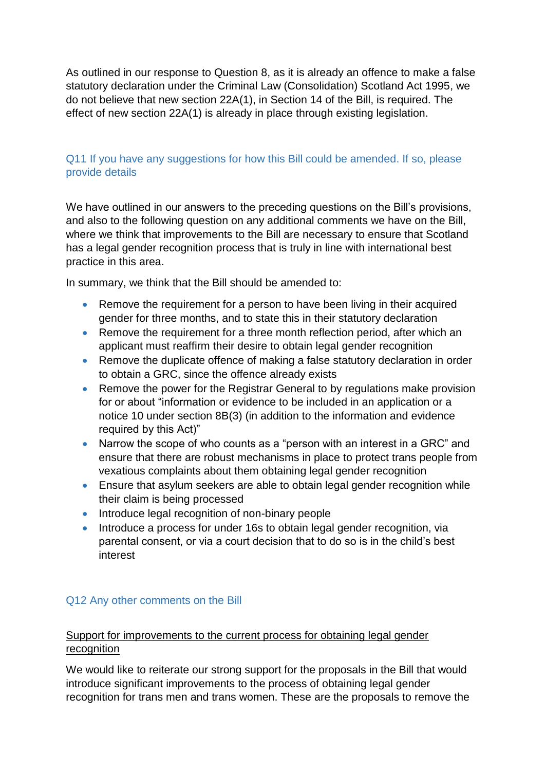As outlined in our response to Question 8, as it is already an offence to make a false statutory declaration under the Criminal Law (Consolidation) Scotland Act 1995, we do not believe that new section 22A(1), in Section 14 of the Bill, is required. The effect of new section 22A(1) is already in place through existing legislation.

## Q11 If you have any suggestions for how this Bill could be amended. If so, please provide details

We have outlined in our answers to the preceding questions on the Bill's provisions, and also to the following question on any additional comments we have on the Bill, where we think that improvements to the Bill are necessary to ensure that Scotland has a legal gender recognition process that is truly in line with international best practice in this area.

In summary, we think that the Bill should be amended to:

- Remove the requirement for a person to have been living in their acquired gender for three months, and to state this in their statutory declaration
- Remove the requirement for a three month reflection period, after which an applicant must reaffirm their desire to obtain legal gender recognition
- Remove the duplicate offence of making a false statutory declaration in order to obtain a GRC, since the offence already exists
- Remove the power for the Registrar General to by regulations make provision for or about "information or evidence to be included in an application or a notice 10 under section 8B(3) (in addition to the information and evidence required by this Act)"
- Narrow the scope of who counts as a "person with an interest in a GRC" and ensure that there are robust mechanisms in place to protect trans people from vexatious complaints about them obtaining legal gender recognition
- Ensure that asylum seekers are able to obtain legal gender recognition while their claim is being processed
- Introduce legal recognition of non-binary people
- Introduce a process for under 16s to obtain legal gender recognition, via parental consent, or via a court decision that to do so is in the child's best interest

## Q12 Any other comments on the Bill

## Support for improvements to the current process for obtaining legal gender recognition

We would like to reiterate our strong support for the proposals in the Bill that would introduce significant improvements to the process of obtaining legal gender recognition for trans men and trans women. These are the proposals to remove the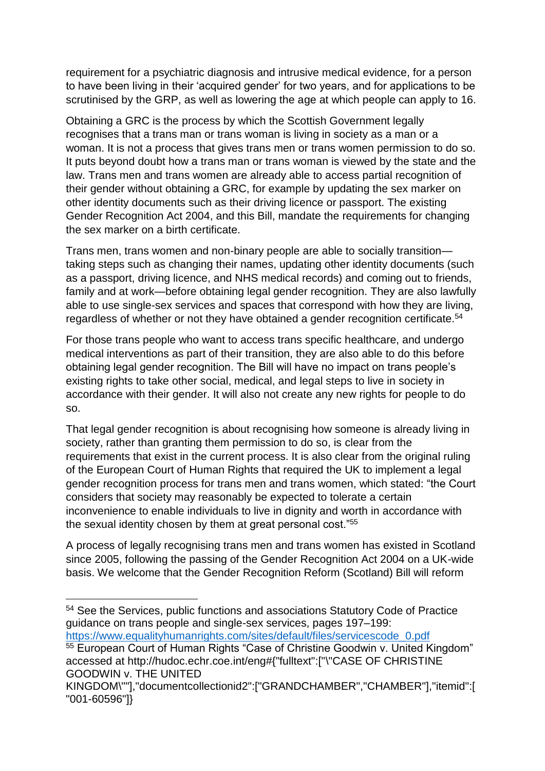requirement for a psychiatric diagnosis and intrusive medical evidence, for a person to have been living in their 'acquired gender' for two years, and for applications to be scrutinised by the GRP, as well as lowering the age at which people can apply to 16.

Obtaining a GRC is the process by which the Scottish Government legally recognises that a trans man or trans woman is living in society as a man or a woman. It is not a process that gives trans men or trans women permission to do so. It puts beyond doubt how a trans man or trans woman is viewed by the state and the law. Trans men and trans women are already able to access partial recognition of their gender without obtaining a GRC, for example by updating the sex marker on other identity documents such as their driving licence or passport. The existing Gender Recognition Act 2004, and this Bill, mandate the requirements for changing the sex marker on a birth certificate.

Trans men, trans women and non-binary people are able to socially transition taking steps such as changing their names, updating other identity documents (such as a passport, driving licence, and NHS medical records) and coming out to friends, family and at work—before obtaining legal gender recognition. They are also lawfully able to use single-sex services and spaces that correspond with how they are living, regardless of whether or not they have obtained a gender recognition certificate.<sup>54</sup>

For those trans people who want to access trans specific healthcare, and undergo medical interventions as part of their transition, they are also able to do this before obtaining legal gender recognition. The Bill will have no impact on trans people's existing rights to take other social, medical, and legal steps to live in society in accordance with their gender. It will also not create any new rights for people to do so.

That legal gender recognition is about recognising how someone is already living in society, rather than granting them permission to do so, is clear from the requirements that exist in the current process. It is also clear from the original ruling of the European Court of Human Rights that required the UK to implement a legal gender recognition process for trans men and trans women, which stated: "the Court considers that society may reasonably be expected to tolerate a certain inconvenience to enable individuals to live in dignity and worth in accordance with the sexual identity chosen by them at great personal cost."<sup>55</sup>

A process of legally recognising trans men and trans women has existed in Scotland since 2005, following the passing of the Gender Recognition Act 2004 on a UK-wide basis. We welcome that the Gender Recognition Reform (Scotland) Bill will reform

1

<sup>54</sup> See the Services, public functions and associations Statutory Code of Practice guidance on trans people and single-sex services, pages 197–199: [https://www.equalityhumanrights.com/sites/default/files/servicescode\\_0.pdf](https://www.equalityhumanrights.com/sites/default/files/servicescode_0.pdf)

<sup>55</sup> European Court of Human Rights "Case of Christine Goodwin v. United Kingdom" accessed at http://hudoc.echr.coe.int/eng#{"fulltext":["\"CASE OF CHRISTINE GOODWIN v. THE UNITED

KINGDOM\""],"documentcollectionid2":["GRANDCHAMBER","CHAMBER"],"itemid":[ "001-60596"]}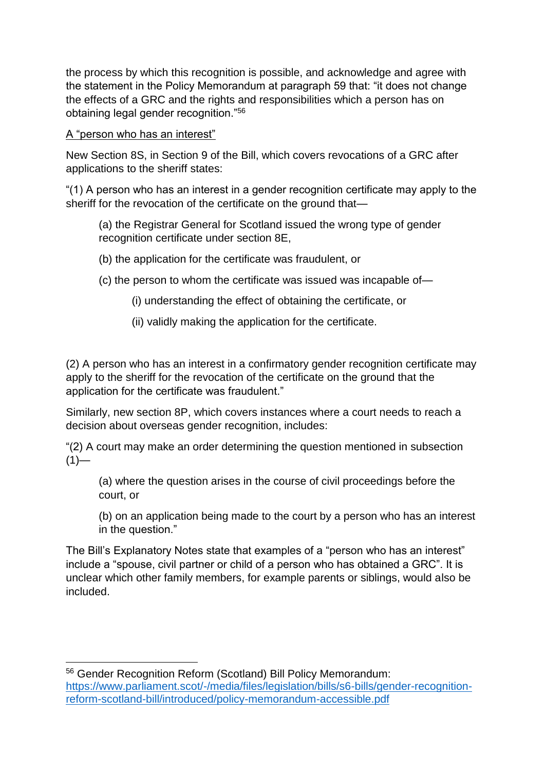the process by which this recognition is possible, and acknowledge and agree with the statement in the Policy Memorandum at paragraph 59 that: "it does not change the effects of a GRC and the rights and responsibilities which a person has on obtaining legal gender recognition."<sup>56</sup>

A "person who has an interest"

1

New Section 8S, in Section 9 of the Bill, which covers revocations of a GRC after applications to the sheriff states:

"(1) A person who has an interest in a gender recognition certificate may apply to the sheriff for the revocation of the certificate on the ground that—

(a) the Registrar General for Scotland issued the wrong type of gender recognition certificate under section 8E,

- (b) the application for the certificate was fraudulent, or
- (c) the person to whom the certificate was issued was incapable of—
	- (i) understanding the effect of obtaining the certificate, or
	- (ii) validly making the application for the certificate.

(2) A person who has an interest in a confirmatory gender recognition certificate may apply to the sheriff for the revocation of the certificate on the ground that the application for the certificate was fraudulent."

Similarly, new section 8P, which covers instances where a court needs to reach a decision about overseas gender recognition, includes:

"(2) A court may make an order determining the question mentioned in subsection  $(1)$ —

(a) where the question arises in the course of civil proceedings before the court, or

(b) on an application being made to the court by a person who has an interest in the question."

The Bill's Explanatory Notes state that examples of a "person who has an interest" include a "spouse, civil partner or child of a person who has obtained a GRC". It is unclear which other family members, for example parents or siblings, would also be included.

<sup>56</sup> Gender Recognition Reform (Scotland) Bill Policy Memorandum: [https://www.parliament.scot/-/media/files/legislation/bills/s6-bills/gender-recognition](https://www.parliament.scot/-/media/files/legislation/bills/s6-bills/gender-recognition-reform-scotland-bill/introduced/policy-memorandum-accessible.pdf)[reform-scotland-bill/introduced/policy-memorandum-accessible.pdf](https://www.parliament.scot/-/media/files/legislation/bills/s6-bills/gender-recognition-reform-scotland-bill/introduced/policy-memorandum-accessible.pdf)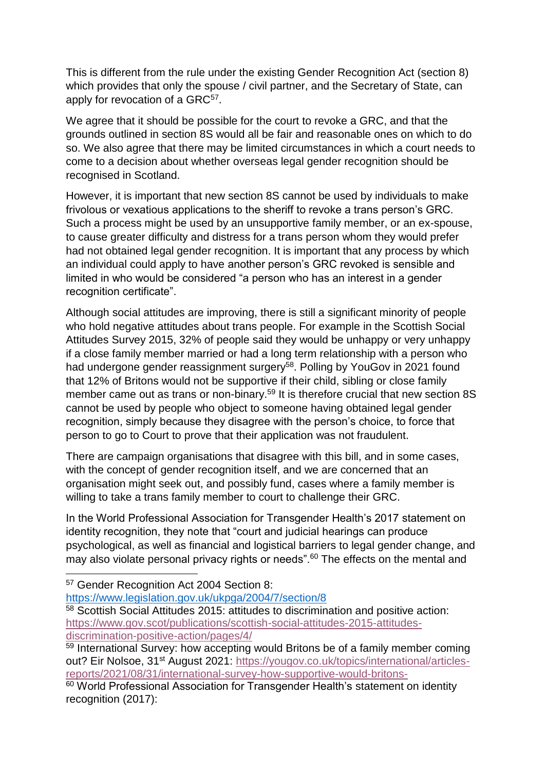This is different from the rule under the existing Gender Recognition Act (section 8) which provides that only the spouse / civil partner, and the Secretary of State, can apply for revocation of a GRC<sup>57</sup>.

We agree that it should be possible for the court to revoke a GRC, and that the grounds outlined in section 8S would all be fair and reasonable ones on which to do so. We also agree that there may be limited circumstances in which a court needs to come to a decision about whether overseas legal gender recognition should be recognised in Scotland.

However, it is important that new section 8S cannot be used by individuals to make frivolous or vexatious applications to the sheriff to revoke a trans person's GRC. Such a process might be used by an unsupportive family member, or an ex-spouse, to cause greater difficulty and distress for a trans person whom they would prefer had not obtained legal gender recognition. It is important that any process by which an individual could apply to have another person's GRC revoked is sensible and limited in who would be considered "a person who has an interest in a gender recognition certificate".

Although social attitudes are improving, there is still a significant minority of people who hold negative attitudes about trans people. For example in the Scottish Social Attitudes Survey 2015, 32% of people said they would be unhappy or very unhappy if a close family member married or had a long term relationship with a person who had undergone gender reassignment surgery<sup>58</sup>. Polling by YouGov in 2021 found that 12% of Britons would not be supportive if their child, sibling or close family member came out as trans or non-binary.<sup>59</sup> It is therefore crucial that new section 8S cannot be used by people who object to someone having obtained legal gender recognition, simply because they disagree with the person's choice, to force that person to go to Court to prove that their application was not fraudulent.

There are campaign organisations that disagree with this bill, and in some cases, with the concept of gender recognition itself, and we are concerned that an organisation might seek out, and possibly fund, cases where a family member is willing to take a trans family member to court to challenge their GRC.

In the World Professional Association for Transgender Health's 2017 statement on identity recognition, they note that "court and judicial hearings can produce psychological, as well as financial and logistical barriers to legal gender change, and may also violate personal privacy rights or needs".<sup>60</sup> The effects on the mental and

**.** 

<https://www.legislation.gov.uk/ukpga/2004/7/section/8>

<sup>57</sup> Gender Recognition Act 2004 Section 8:

<sup>58</sup> Scottish Social Attitudes 2015: attitudes to discrimination and positive action: [https://www.gov.scot/publications/scottish-social-attitudes-2015-attitudes](https://www.gov.scot/publications/scottish-social-attitudes-2015-attitudes-discrimination-positive-action/pages/4/)[discrimination-positive-action/pages/4/](https://www.gov.scot/publications/scottish-social-attitudes-2015-attitudes-discrimination-positive-action/pages/4/)

<sup>&</sup>lt;sup>59</sup> International Survey: how accepting would Britons be of a family member coming out? Eir Nolsoe, 31<sup>st</sup> August 2021: [https://yougov.co.uk/topics/international/articles](https://yougov.co.uk/topics/international/articles-reports/2021/08/31/international-survey-how-supportive-would-britons-)[reports/2021/08/31/international-survey-how-supportive-would-britons-](https://yougov.co.uk/topics/international/articles-reports/2021/08/31/international-survey-how-supportive-would-britons-)

<sup>60</sup> World Professional Association for Transgender Health's statement on identity recognition (2017):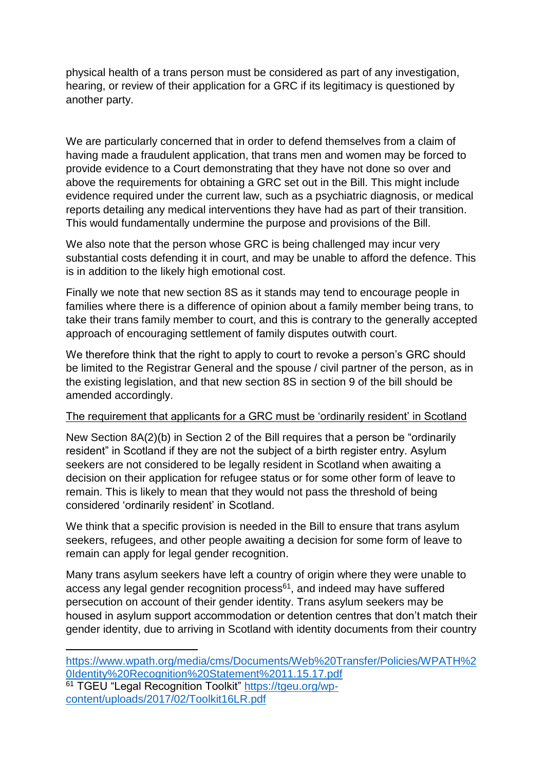physical health of a trans person must be considered as part of any investigation, hearing, or review of their application for a GRC if its legitimacy is questioned by another party.

We are particularly concerned that in order to defend themselves from a claim of having made a fraudulent application, that trans men and women may be forced to provide evidence to a Court demonstrating that they have not done so over and above the requirements for obtaining a GRC set out in the Bill. This might include evidence required under the current law, such as a psychiatric diagnosis, or medical reports detailing any medical interventions they have had as part of their transition. This would fundamentally undermine the purpose and provisions of the Bill.

We also note that the person whose GRC is being challenged may incur very substantial costs defending it in court, and may be unable to afford the defence. This is in addition to the likely high emotional cost.

Finally we note that new section 8S as it stands may tend to encourage people in families where there is a difference of opinion about a family member being trans, to take their trans family member to court, and this is contrary to the generally accepted approach of encouraging settlement of family disputes outwith court.

We therefore think that the right to apply to court to revoke a person's GRC should be limited to the Registrar General and the spouse / civil partner of the person, as in the existing legislation, and that new section 8S in section 9 of the bill should be amended accordingly.

## The requirement that applicants for a GRC must be 'ordinarily resident' in Scotland

New Section 8A(2)(b) in Section 2 of the Bill requires that a person be "ordinarily resident" in Scotland if they are not the subject of a birth register entry. Asylum seekers are not considered to be legally resident in Scotland when awaiting a decision on their application for refugee status or for some other form of leave to remain. This is likely to mean that they would not pass the threshold of being considered 'ordinarily resident' in Scotland.

We think that a specific provision is needed in the Bill to ensure that trans asylum seekers, refugees, and other people awaiting a decision for some form of leave to remain can apply for legal gender recognition.

Many trans asylum seekers have left a country of origin where they were unable to access any legal gender recognition process<sup>61</sup>, and indeed may have suffered persecution on account of their gender identity. Trans asylum seekers may be housed in asylum support accommodation or detention centres that don't match their gender identity, due to arriving in Scotland with identity documents from their country

 $\overline{a}$ 

[https://www.wpath.org/media/cms/Documents/Web%20Transfer/Policies/WPATH%2](https://www.wpath.org/media/cms/Documents/Web%20Transfer/Policies/WPATH%20Identity%20Recognition%20Statement%2011.15.17.pdf) [0Identity%20Recognition%20Statement%2011.15.17.pdf](https://www.wpath.org/media/cms/Documents/Web%20Transfer/Policies/WPATH%20Identity%20Recognition%20Statement%2011.15.17.pdf) <sup>61</sup> TGEU "Legal Recognition Toolkit" [https://tgeu.org/wp](https://tgeu.org/wp-content/uploads/2017/02/Toolkit16LR.pdf)[content/uploads/2017/02/Toolkit16LR.pdf](https://tgeu.org/wp-content/uploads/2017/02/Toolkit16LR.pdf)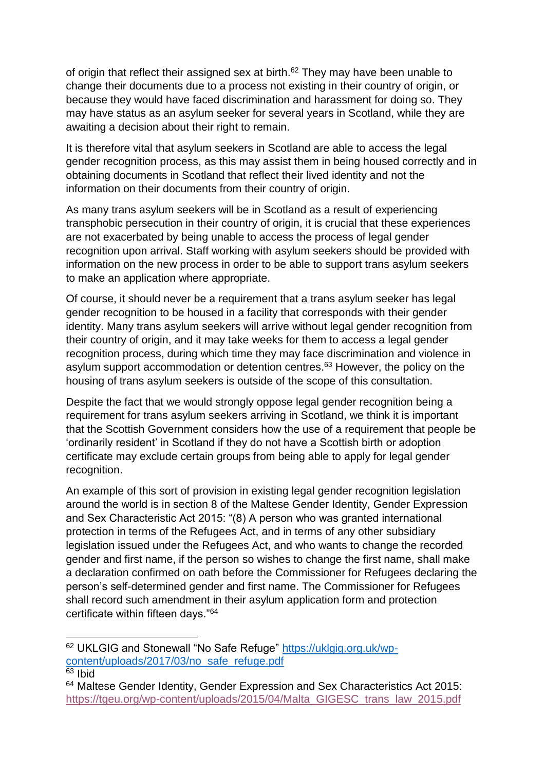of origin that reflect their assigned sex at birth.<sup>62</sup> They may have been unable to change their documents due to a process not existing in their country of origin, or because they would have faced discrimination and harassment for doing so. They may have status as an asylum seeker for several years in Scotland, while they are awaiting a decision about their right to remain.

It is therefore vital that asylum seekers in Scotland are able to access the legal gender recognition process, as this may assist them in being housed correctly and in obtaining documents in Scotland that reflect their lived identity and not the information on their documents from their country of origin.

As many trans asylum seekers will be in Scotland as a result of experiencing transphobic persecution in their country of origin, it is crucial that these experiences are not exacerbated by being unable to access the process of legal gender recognition upon arrival. Staff working with asylum seekers should be provided with information on the new process in order to be able to support trans asylum seekers to make an application where appropriate.

Of course, it should never be a requirement that a trans asylum seeker has legal gender recognition to be housed in a facility that corresponds with their gender identity. Many trans asylum seekers will arrive without legal gender recognition from their country of origin, and it may take weeks for them to access a legal gender recognition process, during which time they may face discrimination and violence in asylum support accommodation or detention centres.<sup>63</sup> However, the policy on the housing of trans asylum seekers is outside of the scope of this consultation.

Despite the fact that we would strongly oppose legal gender recognition being a requirement for trans asylum seekers arriving in Scotland, we think it is important that the Scottish Government considers how the use of a requirement that people be 'ordinarily resident' in Scotland if they do not have a Scottish birth or adoption certificate may exclude certain groups from being able to apply for legal gender recognition.

An example of this sort of provision in existing legal gender recognition legislation around the world is in section 8 of the Maltese Gender Identity, Gender Expression and Sex Characteristic Act 2015: "(8) A person who was granted international protection in terms of the Refugees Act, and in terms of any other subsidiary legislation issued under the Refugees Act, and who wants to change the recorded gender and first name, if the person so wishes to change the first name, shall make a declaration confirmed on oath before the Commissioner for Refugees declaring the person's self-determined gender and first name. The Commissioner for Refugees shall record such amendment in their asylum application form and protection certificate within fifteen days."<sup>64</sup>

**.** 

<sup>62</sup> UKLGIG and Stonewall "No Safe Refuge" [https://uklgig.org.uk/wp](https://uklgig.org.uk/wp-content/uploads/2017/03/no_safe_refuge.pdf)[content/uploads/2017/03/no\\_safe\\_refuge.pdf](https://uklgig.org.uk/wp-content/uploads/2017/03/no_safe_refuge.pdf)

 $63$  Ibid

<sup>64</sup> Maltese Gender Identity, Gender Expression and Sex Characteristics Act 2015: [https://tgeu.org/wp-content/uploads/2015/04/Malta\\_GIGESC\\_trans\\_law\\_2015.pdf](https://tgeu.org/wp-content/uploads/2015/04/Malta_GIGESC_trans_law_2015.pdf)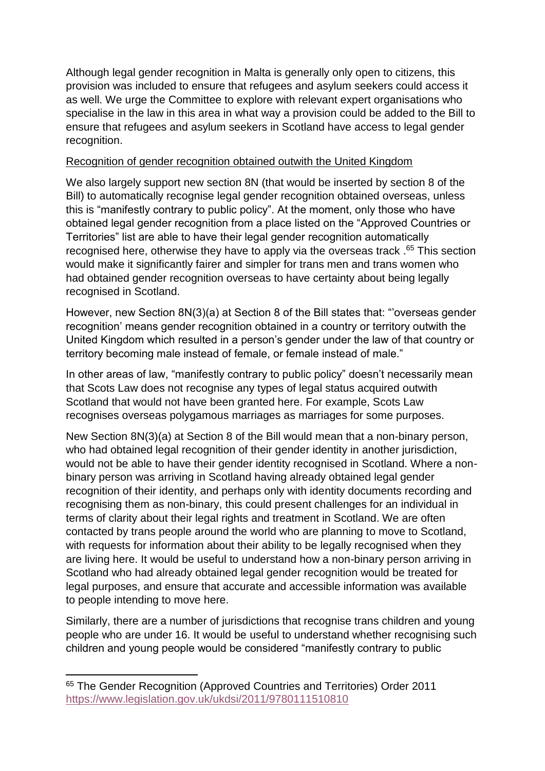Although legal gender recognition in Malta is generally only open to citizens, this provision was included to ensure that refugees and asylum seekers could access it as well. We urge the Committee to explore with relevant expert organisations who specialise in the law in this area in what way a provision could be added to the Bill to ensure that refugees and asylum seekers in Scotland have access to legal gender recognition.

#### Recognition of gender recognition obtained outwith the United Kingdom

We also largely support new section 8N (that would be inserted by section 8 of the Bill) to automatically recognise legal gender recognition obtained overseas, unless this is "manifestly contrary to public policy". At the moment, only those who have obtained legal gender recognition from a place listed on the "Approved Countries or Territories" list are able to have their legal gender recognition automatically recognised here, otherwise they have to apply via the overseas track .<sup>65</sup> This section would make it significantly fairer and simpler for trans men and trans women who had obtained gender recognition overseas to have certainty about being legally recognised in Scotland.

However, new Section 8N(3)(a) at Section 8 of the Bill states that: "'overseas gender recognition' means gender recognition obtained in a country or territory outwith the United Kingdom which resulted in a person's gender under the law of that country or territory becoming male instead of female, or female instead of male."

In other areas of law, "manifestly contrary to public policy" doesn't necessarily mean that Scots Law does not recognise any types of legal status acquired outwith Scotland that would not have been granted here. For example, Scots Law recognises overseas polygamous marriages as marriages for some purposes.

New Section 8N(3)(a) at Section 8 of the Bill would mean that a non-binary person, who had obtained legal recognition of their gender identity in another jurisdiction, would not be able to have their gender identity recognised in Scotland. Where a nonbinary person was arriving in Scotland having already obtained legal gender recognition of their identity, and perhaps only with identity documents recording and recognising them as non-binary, this could present challenges for an individual in terms of clarity about their legal rights and treatment in Scotland. We are often contacted by trans people around the world who are planning to move to Scotland, with requests for information about their ability to be legally recognised when they are living here. It would be useful to understand how a non-binary person arriving in Scotland who had already obtained legal gender recognition would be treated for legal purposes, and ensure that accurate and accessible information was available to people intending to move here.

Similarly, there are a number of jurisdictions that recognise trans children and young people who are under 16. It would be useful to understand whether recognising such children and young people would be considered "manifestly contrary to public

**.** 

<sup>&</sup>lt;sup>65</sup> The Gender Recognition (Approved Countries and Territories) Order 2011 <https://www.legislation.gov.uk/ukdsi/2011/9780111510810>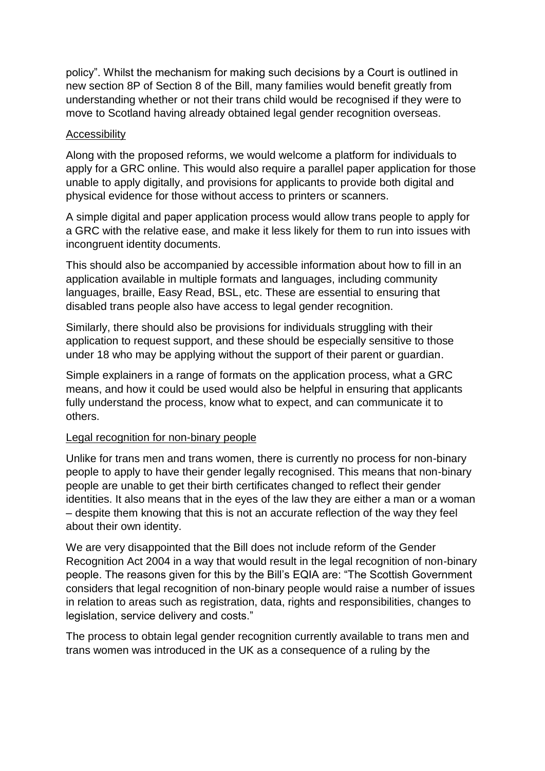policy". Whilst the mechanism for making such decisions by a Court is outlined in new section 8P of Section 8 of the Bill, many families would benefit greatly from understanding whether or not their trans child would be recognised if they were to move to Scotland having already obtained legal gender recognition overseas.

#### Accessibility

Along with the proposed reforms, we would welcome a platform for individuals to apply for a GRC online. This would also require a parallel paper application for those unable to apply digitally, and provisions for applicants to provide both digital and physical evidence for those without access to printers or scanners.

A simple digital and paper application process would allow trans people to apply for a GRC with the relative ease, and make it less likely for them to run into issues with incongruent identity documents.

This should also be accompanied by accessible information about how to fill in an application available in multiple formats and languages, including community languages, braille, Easy Read, BSL, etc. These are essential to ensuring that disabled trans people also have access to legal gender recognition.

Similarly, there should also be provisions for individuals struggling with their application to request support, and these should be especially sensitive to those under 18 who may be applying without the support of their parent or guardian.

Simple explainers in a range of formats on the application process, what a GRC means, and how it could be used would also be helpful in ensuring that applicants fully understand the process, know what to expect, and can communicate it to others.

#### Legal recognition for non-binary people

Unlike for trans men and trans women, there is currently no process for non-binary people to apply to have their gender legally recognised. This means that non-binary people are unable to get their birth certificates changed to reflect their gender identities. It also means that in the eyes of the law they are either a man or a woman – despite them knowing that this is not an accurate reflection of the way they feel about their own identity.

We are very disappointed that the Bill does not include reform of the Gender Recognition Act 2004 in a way that would result in the legal recognition of non-binary people. The reasons given for this by the Bill's EQIA are: "The Scottish Government considers that legal recognition of non-binary people would raise a number of issues in relation to areas such as registration, data, rights and responsibilities, changes to legislation, service delivery and costs."

The process to obtain legal gender recognition currently available to trans men and trans women was introduced in the UK as a consequence of a ruling by the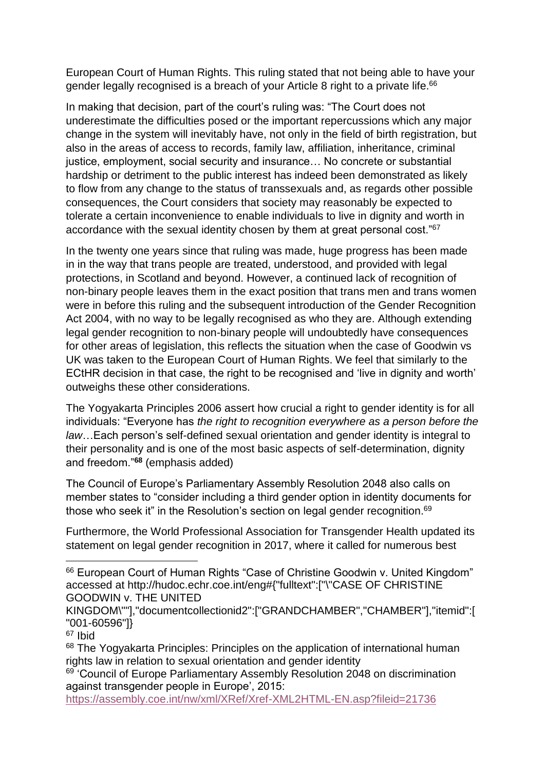European Court of Human Rights. This ruling stated that not being able to have your gender legally recognised is a breach of your Article 8 right to a private life.<sup>66</sup>

In making that decision, part of the court's ruling was: "The Court does not underestimate the difficulties posed or the important repercussions which any major change in the system will inevitably have, not only in the field of birth registration, but also in the areas of access to records, family law, affiliation, inheritance, criminal justice, employment, social security and insurance… No concrete or substantial hardship or detriment to the public interest has indeed been demonstrated as likely to flow from any change to the status of transsexuals and, as regards other possible consequences, the Court considers that society may reasonably be expected to tolerate a certain inconvenience to enable individuals to live in dignity and worth in accordance with the sexual identity chosen by them at great personal cost."<sup>67</sup>

In the twenty one years since that ruling was made, huge progress has been made in in the way that trans people are treated, understood, and provided with legal protections, in Scotland and beyond. However, a continued lack of recognition of non-binary people leaves them in the exact position that trans men and trans women were in before this ruling and the subsequent introduction of the Gender Recognition Act 2004, with no way to be legally recognised as who they are. Although extending legal gender recognition to non-binary people will undoubtedly have consequences for other areas of legislation, this reflects the situation when the case of Goodwin vs UK was taken to the European Court of Human Rights. We feel that similarly to the ECtHR decision in that case, the right to be recognised and 'live in dignity and worth' outweighs these other considerations.

The Yogyakarta Principles 2006 assert how crucial a right to gender identity is for all individuals: "Everyone has *the right to recognition everywhere as a person before the law*…Each person's self-defined sexual orientation and gender identity is integral to their personality and is one of the most basic aspects of self-determination, dignity and freedom."**<sup>68</sup>** (emphasis added)

The Council of Europe's Parliamentary Assembly Resolution 2048 also calls on member states to "consider including a third gender option in identity documents for those who seek it" in the Resolution's section on legal gender recognition.<sup>69</sup>

Furthermore, the World Professional Association for Transgender Health updated its statement on legal gender recognition in 2017, where it called for numerous best

**.** 

<https://assembly.coe.int/nw/xml/XRef/Xref-XML2HTML-EN.asp?fileid=21736>

<sup>&</sup>lt;sup>66</sup> European Court of Human Rights "Case of Christine Goodwin v. United Kingdom" accessed at http://hudoc.echr.coe.int/eng#{"fulltext":["\"CASE OF CHRISTINE GOODWIN v. THE UNITED

KINGDOM\""],"documentcollectionid2":["GRANDCHAMBER","CHAMBER"],"itemid":[ "001-60596"]}

<sup>67</sup> Ibid

<sup>&</sup>lt;sup>68</sup> The Yogyakarta Principles: Principles on the application of international human rights law in relation to sexual orientation and gender identity

<sup>&</sup>lt;sup>69</sup> 'Council of Europe Parliamentary Assembly Resolution 2048 on discrimination against transgender people in Europe', 2015: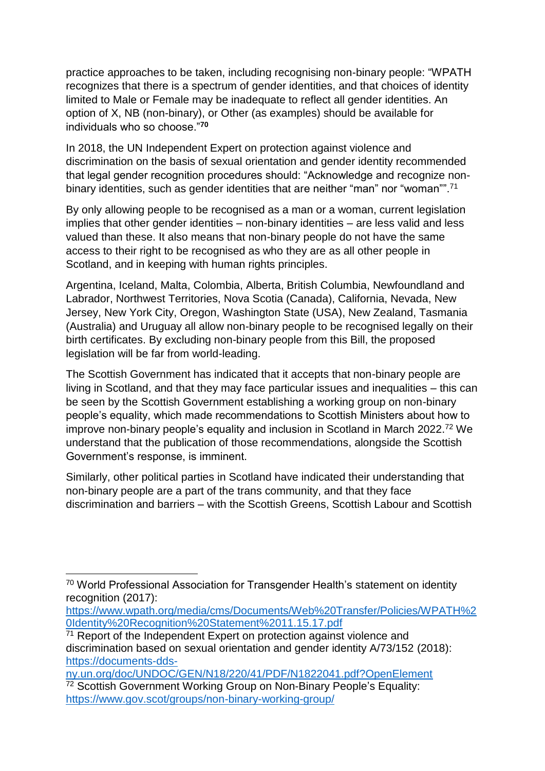practice approaches to be taken, including recognising non-binary people: "WPATH recognizes that there is a spectrum of gender identities, and that choices of identity limited to Male or Female may be inadequate to reflect all gender identities. An option of X, NB (non-binary), or Other (as examples) should be available for individuals who so choose."**<sup>70</sup>**

In 2018, the UN Independent Expert on protection against violence and discrimination on the basis of sexual orientation and gender identity recommended that legal gender recognition procedures should: "Acknowledge and recognize nonbinary identities, such as gender identities that are neither "man" nor "woman"".<sup>71</sup>

By only allowing people to be recognised as a man or a woman, current legislation implies that other gender identities – non-binary identities – are less valid and less valued than these. It also means that non-binary people do not have the same access to their right to be recognised as who they are as all other people in Scotland, and in keeping with human rights principles.

Argentina, Iceland, Malta, Colombia, Alberta, British Columbia, Newfoundland and Labrador, Northwest Territories, Nova Scotia (Canada), California, Nevada, New Jersey, New York City, Oregon, Washington State (USA), New Zealand, Tasmania (Australia) and Uruguay all allow non-binary people to be recognised legally on their birth certificates. By excluding non-binary people from this Bill, the proposed legislation will be far from world-leading.

The Scottish Government has indicated that it accepts that non-binary people are living in Scotland, and that they may face particular issues and inequalities – this can be seen by the Scottish Government establishing a working group on non-binary people's equality, which made recommendations to Scottish Ministers about how to improve non-binary people's equality and inclusion in Scotland in March 2022.<sup>72</sup> We understand that the publication of those recommendations, alongside the Scottish Government's response, is imminent.

Similarly, other political parties in Scotland have indicated their understanding that non-binary people are a part of the trans community, and that they face discrimination and barriers – with the Scottish Greens, Scottish Labour and Scottish

**.** 

<sup>70</sup> World Professional Association for Transgender Health's statement on identity recognition (2017):

[https://www.wpath.org/media/cms/Documents/Web%20Transfer/Policies/WPATH%2](https://www.wpath.org/media/cms/Documents/Web%20Transfer/Policies/WPATH%20Identity%20Recognition%20Statement%2011.15.17.pdf) [0Identity%20Recognition%20Statement%2011.15.17.pdf](https://www.wpath.org/media/cms/Documents/Web%20Transfer/Policies/WPATH%20Identity%20Recognition%20Statement%2011.15.17.pdf)

<sup>&</sup>lt;sup>71</sup> Report of the Independent Expert on protection against violence and discrimination based on sexual orientation and gender identity A/73/152 (2018): [https://documents-dds-](https://documents-dds-ny.un.org/doc/UNDOC/GEN/N18/220/41/PDF/N1822041.pdf?OpenElement)

[ny.un.org/doc/UNDOC/GEN/N18/220/41/PDF/N1822041.pdf?OpenElement](https://documents-dds-ny.un.org/doc/UNDOC/GEN/N18/220/41/PDF/N1822041.pdf?OpenElement) <sup>72</sup> Scottish Government Working Group on Non-Binary People's Equality: <https://www.gov.scot/groups/non-binary-working-group/>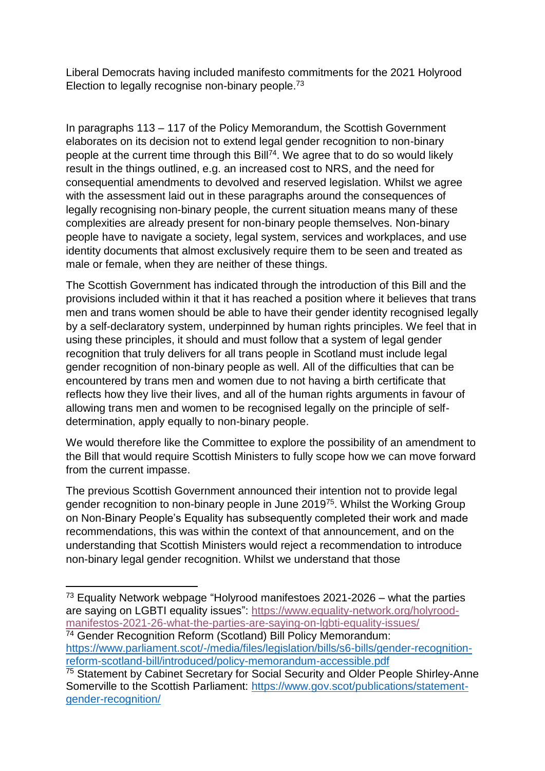Liberal Democrats having included manifesto commitments for the 2021 Holyrood Election to legally recognise non-binary people.<sup>73</sup>

In paragraphs 113 – 117 of the Policy Memorandum, the Scottish Government elaborates on its decision not to extend legal gender recognition to non-binary people at the current time through this Bill<sup>74</sup>. We agree that to do so would likely result in the things outlined, e.g. an increased cost to NRS, and the need for consequential amendments to devolved and reserved legislation. Whilst we agree with the assessment laid out in these paragraphs around the consequences of legally recognising non-binary people, the current situation means many of these complexities are already present for non-binary people themselves. Non-binary people have to navigate a society, legal system, services and workplaces, and use identity documents that almost exclusively require them to be seen and treated as male or female, when they are neither of these things.

The Scottish Government has indicated through the introduction of this Bill and the provisions included within it that it has reached a position where it believes that trans men and trans women should be able to have their gender identity recognised legally by a self-declaratory system, underpinned by human rights principles. We feel that in using these principles, it should and must follow that a system of legal gender recognition that truly delivers for all trans people in Scotland must include legal gender recognition of non-binary people as well. All of the difficulties that can be encountered by trans men and women due to not having a birth certificate that reflects how they live their lives, and all of the human rights arguments in favour of allowing trans men and women to be recognised legally on the principle of selfdetermination, apply equally to non-binary people.

We would therefore like the Committee to explore the possibility of an amendment to the Bill that would require Scottish Ministers to fully scope how we can move forward from the current impasse.

The previous Scottish Government announced their intention not to provide legal gender recognition to non-binary people in June 2019<sup>75</sup>. Whilst the Working Group on Non-Binary People's Equality has subsequently completed their work and made recommendations, this was within the context of that announcement, and on the understanding that Scottish Ministers would reject a recommendation to introduce non-binary legal gender recognition. Whilst we understand that those

<sup>74</sup> Gender Recognition Reform (Scotland) Bill Policy Memorandum: [https://www.parliament.scot/-/media/files/legislation/bills/s6-bills/gender-recognition](https://www.parliament.scot/-/media/files/legislation/bills/s6-bills/gender-recognition-reform-scotland-bill/introduced/policy-memorandum-accessible.pdf)[reform-scotland-bill/introduced/policy-memorandum-accessible.pdf](https://www.parliament.scot/-/media/files/legislation/bills/s6-bills/gender-recognition-reform-scotland-bill/introduced/policy-memorandum-accessible.pdf)

<sup>1</sup>  $73$  Equality Network webpage "Holyrood manifestoes 2021-2026 – what the parties are saying on LGBTI equality issues": [https://www.equality-network.org/holyrood](https://www.equality-network.org/holyrood-manifestos-2021-26-what-the-parties-are-saying-on-lgbti-equality-issues/)[manifestos-2021-26-what-the-parties-are-saying-on-lgbti-equality-issues/](https://www.equality-network.org/holyrood-manifestos-2021-26-what-the-parties-are-saying-on-lgbti-equality-issues/)

<sup>&</sup>lt;sup>75</sup> Statement by Cabinet Secretary for Social Security and Older People Shirley-Anne Somerville to the Scottish Parliament: [https://www.gov.scot/publications/statement](https://www.gov.scot/publications/statement-gender-recognition/)[gender-recognition/](https://www.gov.scot/publications/statement-gender-recognition/)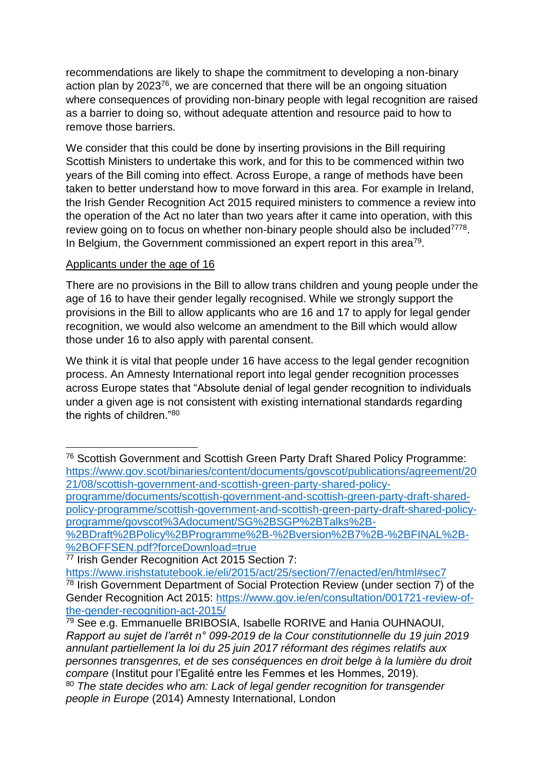recommendations are likely to shape the commitment to developing a non-binary action plan by 2023<sup>76</sup>, we are concerned that there will be an ongoing situation where consequences of providing non-binary people with legal recognition are raised as a barrier to doing so, without adequate attention and resource paid to how to remove those barriers.

We consider that this could be done by inserting provisions in the Bill requiring Scottish Ministers to undertake this work, and for this to be commenced within two years of the Bill coming into effect. Across Europe, a range of methods have been taken to better understand how to move forward in this area. For example in Ireland, the Irish Gender Recognition Act 2015 required ministers to commence a review into the operation of the Act no later than two years after it came into operation, with this review going on to focus on whether non-binary people should also be included<sup>7778</sup>. In Belgium, the Government commissioned an expert report in this area<sup>79</sup>.

#### Applicants under the age of 16

1

There are no provisions in the Bill to allow trans children and young people under the age of 16 to have their gender legally recognised. While we strongly support the provisions in the Bill to allow applicants who are 16 and 17 to apply for legal gender recognition, we would also welcome an amendment to the Bill which would allow those under 16 to also apply with parental consent.

We think it is vital that people under 16 have access to the legal gender recognition process. An Amnesty International report into legal gender recognition processes across Europe states that "Absolute denial of legal gender recognition to individuals under a given age is not consistent with existing international standards regarding the rights of children."<sup>80</sup>

<sup>76</sup> Scottish Government and Scottish Green Party Draft Shared Policy Programme: [https://www.gov.scot/binaries/content/documents/govscot/publications/agreement/20](https://www.gov.scot/binaries/content/documents/govscot/publications/agreement/2021/08/scottish-government-and-scottish-green-party-shared-policy-programme/documents/scottish-government-and-scottish-green-party-draft-shared-policy-programme/scottish-government-and-scottish-green-party-draft-shared-policy-programme/govscot%3Adocument/SG%2BSGP%2BTalks%2B-%2BDraft%2BPolicy%2BProgramme%2B-%2Bversion%2B7%2B-%2BFINAL%2B-%2BOFFSEN.pdf?forceDownload=true) [21/08/scottish-government-and-scottish-green-party-shared-policy-](https://www.gov.scot/binaries/content/documents/govscot/publications/agreement/2021/08/scottish-government-and-scottish-green-party-shared-policy-programme/documents/scottish-government-and-scottish-green-party-draft-shared-policy-programme/scottish-government-and-scottish-green-party-draft-shared-policy-programme/govscot%3Adocument/SG%2BSGP%2BTalks%2B-%2BDraft%2BPolicy%2BProgramme%2B-%2Bversion%2B7%2B-%2BFINAL%2B-%2BOFFSEN.pdf?forceDownload=true)

[programme/documents/scottish-government-and-scottish-green-party-draft-shared](https://www.gov.scot/binaries/content/documents/govscot/publications/agreement/2021/08/scottish-government-and-scottish-green-party-shared-policy-programme/documents/scottish-government-and-scottish-green-party-draft-shared-policy-programme/scottish-government-and-scottish-green-party-draft-shared-policy-programme/govscot%3Adocument/SG%2BSGP%2BTalks%2B-%2BDraft%2BPolicy%2BProgramme%2B-%2Bversion%2B7%2B-%2BFINAL%2B-%2BOFFSEN.pdf?forceDownload=true)[policy-programme/scottish-government-and-scottish-green-party-draft-shared-policy](https://www.gov.scot/binaries/content/documents/govscot/publications/agreement/2021/08/scottish-government-and-scottish-green-party-shared-policy-programme/documents/scottish-government-and-scottish-green-party-draft-shared-policy-programme/scottish-government-and-scottish-green-party-draft-shared-policy-programme/govscot%3Adocument/SG%2BSGP%2BTalks%2B-%2BDraft%2BPolicy%2BProgramme%2B-%2Bversion%2B7%2B-%2BFINAL%2B-%2BOFFSEN.pdf?forceDownload=true)[programme/govscot%3Adocument/SG%2BSGP%2BTalks%2B-](https://www.gov.scot/binaries/content/documents/govscot/publications/agreement/2021/08/scottish-government-and-scottish-green-party-shared-policy-programme/documents/scottish-government-and-scottish-green-party-draft-shared-policy-programme/scottish-government-and-scottish-green-party-draft-shared-policy-programme/govscot%3Adocument/SG%2BSGP%2BTalks%2B-%2BDraft%2BPolicy%2BProgramme%2B-%2Bversion%2B7%2B-%2BFINAL%2B-%2BOFFSEN.pdf?forceDownload=true)

[<sup>%2</sup>BDraft%2BPolicy%2BProgramme%2B-%2Bversion%2B7%2B-%2BFINAL%2B-](https://www.gov.scot/binaries/content/documents/govscot/publications/agreement/2021/08/scottish-government-and-scottish-green-party-shared-policy-programme/documents/scottish-government-and-scottish-green-party-draft-shared-policy-programme/scottish-government-and-scottish-green-party-draft-shared-policy-programme/govscot%3Adocument/SG%2BSGP%2BTalks%2B-%2BDraft%2BPolicy%2BProgramme%2B-%2Bversion%2B7%2B-%2BFINAL%2B-%2BOFFSEN.pdf?forceDownload=true) [%2BOFFSEN.pdf?forceDownload=true](https://www.gov.scot/binaries/content/documents/govscot/publications/agreement/2021/08/scottish-government-and-scottish-green-party-shared-policy-programme/documents/scottish-government-and-scottish-green-party-draft-shared-policy-programme/scottish-government-and-scottish-green-party-draft-shared-policy-programme/govscot%3Adocument/SG%2BSGP%2BTalks%2B-%2BDraft%2BPolicy%2BProgramme%2B-%2Bversion%2B7%2B-%2BFINAL%2B-%2BOFFSEN.pdf?forceDownload=true)

<sup>77</sup> Irish Gender Recognition Act 2015 Section 7:

<https://www.irishstatutebook.ie/eli/2015/act/25/section/7/enacted/en/html#sec7> <sup>78</sup> Irish Government Department of Social Protection Review (under section 7) of the Gender Recognition Act 2015: [https://www.gov.ie/en/consultation/001721-review-of](https://www.gov.ie/en/consultation/001721-review-of-the-gender-recognition-act-2015/)[the-gender-recognition-act-2015/](https://www.gov.ie/en/consultation/001721-review-of-the-gender-recognition-act-2015/)

<sup>79</sup> See e.g. Emmanuelle BRIBOSIA, Isabelle RORIVE and Hania OUHNAOUI, *Rapport au sujet de l'arrêt n° 099-2019 de la Cour constitutionnelle du 19 juin 2019 annulant partiellement la loi du 25 juin 2017 réformant des régimes relatifs aux personnes transgenres, et de ses conséquences en droit belge à la lumière du droit compare* (Institut pour l'Egalité entre les Femmes et les Hommes, 2019). <sup>80</sup> *The state decides who am: Lack of legal gender recognition for transgender people in Europe* (2014) Amnesty International, London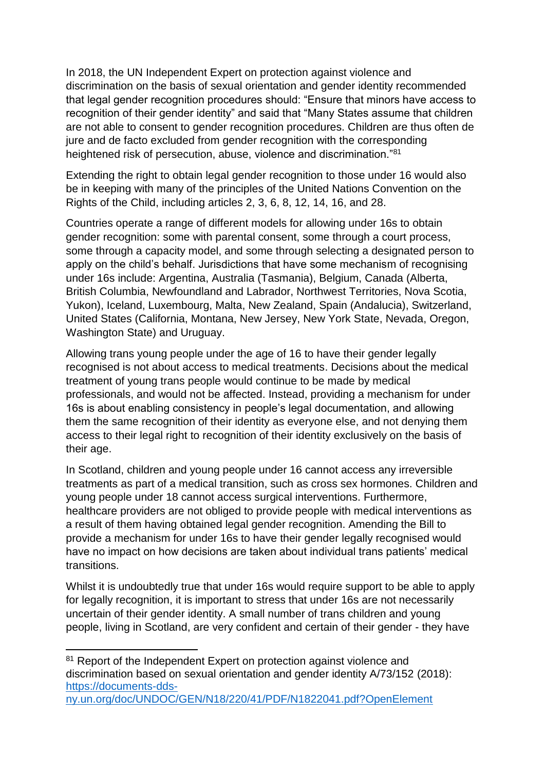In 2018, the UN Independent Expert on protection against violence and discrimination on the basis of sexual orientation and gender identity recommended that legal gender recognition procedures should: "Ensure that minors have access to recognition of their gender identity" and said that "Many States assume that children are not able to consent to gender recognition procedures. Children are thus often de jure and de facto excluded from gender recognition with the corresponding heightened risk of persecution, abuse, violence and discrimination."<sup>81</sup>

Extending the right to obtain legal gender recognition to those under 16 would also be in keeping with many of the principles of the United Nations Convention on the Rights of the Child, including articles 2, 3, 6, 8, 12, 14, 16, and 28.

Countries operate a range of different models for allowing under 16s to obtain gender recognition: some with parental consent, some through a court process, some through a capacity model, and some through selecting a designated person to apply on the child's behalf. Jurisdictions that have some mechanism of recognising under 16s include: Argentina, Australia (Tasmania), Belgium, Canada (Alberta, British Columbia, Newfoundland and Labrador, Northwest Territories, Nova Scotia, Yukon), Iceland, Luxembourg, Malta, New Zealand, Spain (Andalucia), Switzerland, United States (California, Montana, New Jersey, New York State, Nevada, Oregon, Washington State) and Uruguay.

Allowing trans young people under the age of 16 to have their gender legally recognised is not about access to medical treatments. Decisions about the medical treatment of young trans people would continue to be made by medical professionals, and would not be affected. Instead, providing a mechanism for under 16s is about enabling consistency in people's legal documentation, and allowing them the same recognition of their identity as everyone else, and not denying them access to their legal right to recognition of their identity exclusively on the basis of their age.

In Scotland, children and young people under 16 cannot access any irreversible treatments as part of a medical transition, such as cross sex hormones. Children and young people under 18 cannot access surgical interventions. Furthermore, healthcare providers are not obliged to provide people with medical interventions as a result of them having obtained legal gender recognition. Amending the Bill to provide a mechanism for under 16s to have their gender legally recognised would have no impact on how decisions are taken about individual trans patients' medical transitions.

Whilst it is undoubtedly true that under 16s would require support to be able to apply for legally recognition, it is important to stress that under 16s are not necessarily uncertain of their gender identity. A small number of trans children and young people, living in Scotland, are very confident and certain of their gender - they have

 $\overline{\phantom{a}}$ <sup>81</sup> Report of the Independent Expert on protection against violence and discrimination based on sexual orientation and gender identity A/73/152 (2018): [https://documents-dds-](https://documents-dds-ny.un.org/doc/UNDOC/GEN/N18/220/41/PDF/N1822041.pdf?OpenElement)

[ny.un.org/doc/UNDOC/GEN/N18/220/41/PDF/N1822041.pdf?OpenElement](https://documents-dds-ny.un.org/doc/UNDOC/GEN/N18/220/41/PDF/N1822041.pdf?OpenElement)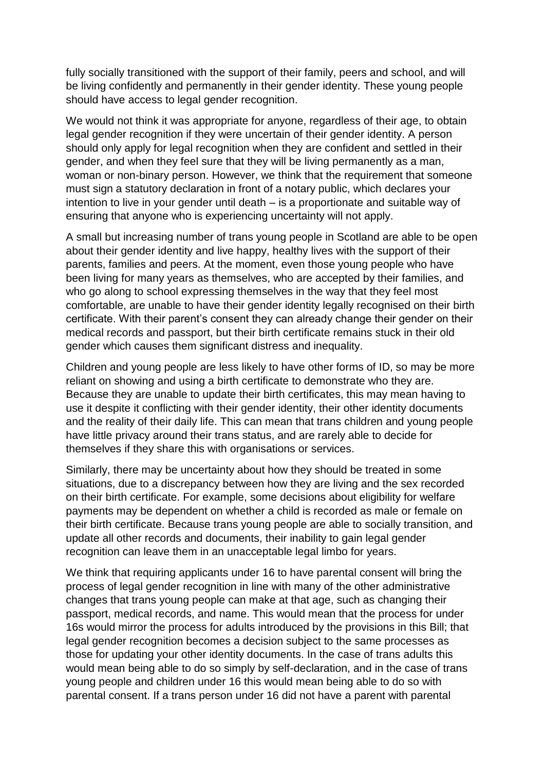fully socially transitioned with the support of their family, peers and school, and will be living confidently and permanently in their gender identity. These young people should have access to legal gender recognition.

We would not think it was appropriate for anyone, regardless of their age, to obtain legal gender recognition if they were uncertain of their gender identity. A person should only apply for legal recognition when they are confident and settled in their gender, and when they feel sure that they will be living permanently as a man, woman or non-binary person. However, we think that the requirement that someone must sign a statutory declaration in front of a notary public, which declares your intention to live in your gender until death – is a proportionate and suitable way of ensuring that anyone who is experiencing uncertainty will not apply.

A small but increasing number of trans young people in Scotland are able to be open about their gender identity and live happy, healthy lives with the support of their parents, families and peers. At the moment, even those young people who have been living for many years as themselves, who are accepted by their families, and who go along to school expressing themselves in the way that they feel most comfortable, are unable to have their gender identity legally recognised on their birth certificate. With their parent's consent they can already change their gender on their medical records and passport, but their birth certificate remains stuck in their old gender which causes them significant distress and inequality.

Children and young people are less likely to have other forms of ID, so may be more reliant on showing and using a birth certificate to demonstrate who they are. Because they are unable to update their birth certificates, this may mean having to use it despite it conflicting with their gender identity, their other identity documents and the reality of their daily life. This can mean that trans children and young people have little privacy around their trans status, and are rarely able to decide for themselves if they share this with organisations or services.

Similarly, there may be uncertainty about how they should be treated in some situations, due to a discrepancy between how they are living and the sex recorded on their birth certificate. For example, some decisions about eligibility for welfare payments may be dependent on whether a child is recorded as male or female on their birth certificate. Because trans young people are able to socially transition, and update all other records and documents, their inability to gain legal gender recognition can leave them in an unacceptable legal limbo for years.

We think that requiring applicants under 16 to have parental consent will bring the process of legal gender recognition in line with many of the other administrative changes that trans young people can make at that age, such as changing their passport, medical records, and name. This would mean that the process for under 16s would mirror the process for adults introduced by the provisions in this Bill; that legal gender recognition becomes a decision subject to the same processes as those for updating your other identity documents. In the case of trans adults this would mean being able to do so simply by self-declaration, and in the case of trans young people and children under 16 this would mean being able to do so with parental consent. If a trans person under 16 did not have a parent with parental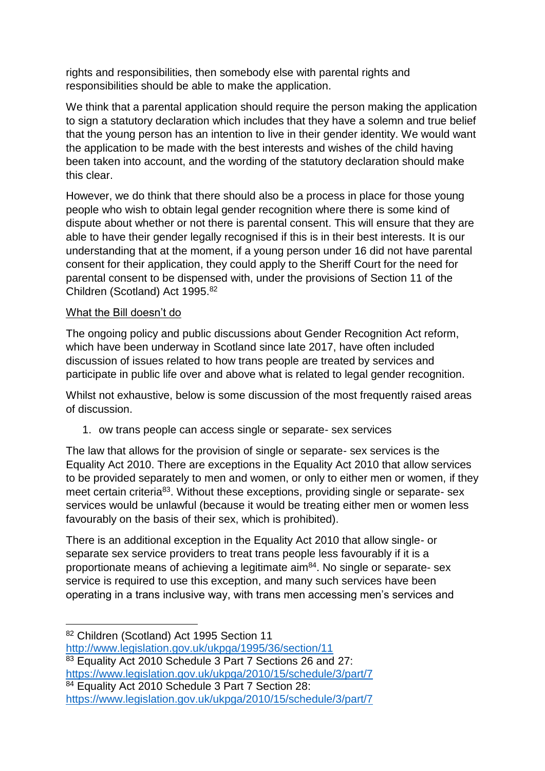rights and responsibilities, then somebody else with parental rights and responsibilities should be able to make the application.

We think that a parental application should require the person making the application to sign a statutory declaration which includes that they have a solemn and true belief that the young person has an intention to live in their gender identity. We would want the application to be made with the best interests and wishes of the child having been taken into account, and the wording of the statutory declaration should make this clear.

However, we do think that there should also be a process in place for those young people who wish to obtain legal gender recognition where there is some kind of dispute about whether or not there is parental consent. This will ensure that they are able to have their gender legally recognised if this is in their best interests. It is our understanding that at the moment, if a young person under 16 did not have parental consent for their application, they could apply to the Sheriff Court for the need for parental consent to be dispensed with, under the provisions of Section 11 of the Children (Scotland) Act 1995.<sup>82</sup>

## What the Bill doesn't do

The ongoing policy and public discussions about Gender Recognition Act reform, which have been underway in Scotland since late 2017, have often included discussion of issues related to how trans people are treated by services and participate in public life over and above what is related to legal gender recognition.

Whilst not exhaustive, below is some discussion of the most frequently raised areas of discussion.

1. ow trans people can access single or separate- sex services

The law that allows for the provision of single or separate- sex services is the Equality Act 2010. There are exceptions in the Equality Act 2010 that allow services to be provided separately to men and women, or only to either men or women, if they meet certain criteria<sup>83</sup>. Without these exceptions, providing single or separate- sex services would be unlawful (because it would be treating either men or women less favourably on the basis of their sex, which is prohibited).

There is an additional exception in the Equality Act 2010 that allow single- or separate sex service providers to treat trans people less favourably if it is a proportionate means of achieving a legitimate  $a^{84}$ . No single or separate- sex service is required to use this exception, and many such services have been operating in a trans inclusive way, with trans men accessing men's services and

83 Equality Act 2010 Schedule 3 Part 7 Sections 26 and 27: <https://www.legislation.gov.uk/ukpga/2010/15/schedule/3/part/7>

84 Equality Act 2010 Schedule 3 Part 7 Section 28:

**<sup>.</sup>** 82 Children (Scotland) Act 1995 Section 11

<http://www.legislation.gov.uk/ukpga/1995/36/section/11>

<https://www.legislation.gov.uk/ukpga/2010/15/schedule/3/part/7>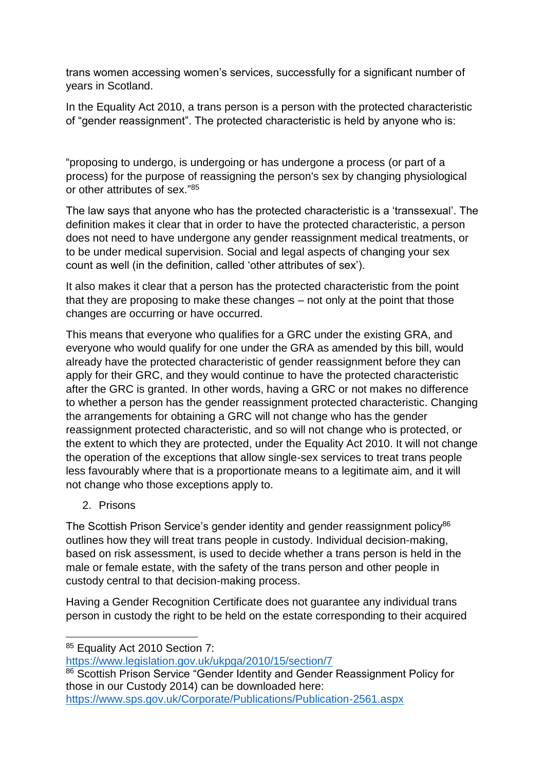trans women accessing women's services, successfully for a significant number of years in Scotland.

In the Equality Act 2010, a trans person is a person with the protected characteristic of "gender reassignment". The protected characteristic is held by anyone who is:

"proposing to undergo, is undergoing or has undergone a process (or part of a process) for the purpose of reassigning the person's sex by changing physiological or other attributes of sex."<sup>85</sup>

The law says that anyone who has the protected characteristic is a 'transsexual'. The definition makes it clear that in order to have the protected characteristic, a person does not need to have undergone any gender reassignment medical treatments, or to be under medical supervision. Social and legal aspects of changing your sex count as well (in the definition, called 'other attributes of sex').

It also makes it clear that a person has the protected characteristic from the point that they are proposing to make these changes – not only at the point that those changes are occurring or have occurred.

This means that everyone who qualifies for a GRC under the existing GRA, and everyone who would qualify for one under the GRA as amended by this bill, would already have the protected characteristic of gender reassignment before they can apply for their GRC, and they would continue to have the protected characteristic after the GRC is granted. In other words, having a GRC or not makes no difference to whether a person has the gender reassignment protected characteristic. Changing the arrangements for obtaining a GRC will not change who has the gender reassignment protected characteristic, and so will not change who is protected, or the extent to which they are protected, under the Equality Act 2010. It will not change the operation of the exceptions that allow single-sex services to treat trans people less favourably where that is a proportionate means to a legitimate aim, and it will not change who those exceptions apply to.

2. Prisons

**.** 

The Scottish Prison Service's gender identity and gender reassignment policy<sup>86</sup> outlines how they will treat trans people in custody. Individual decision-making, based on risk assessment, is used to decide whether a trans person is held in the male or female estate, with the safety of the trans person and other people in custody central to that decision-making process.

Having a Gender Recognition Certificate does not guarantee any individual trans person in custody the right to be held on the estate corresponding to their acquired

<https://www.legislation.gov.uk/ukpga/2010/15/section/7>

86 Scottish Prison Service "Gender Identity and Gender Reassignment Policy for those in our Custody 2014) can be downloaded here: <https://www.sps.gov.uk/Corporate/Publications/Publication-2561.aspx>

<sup>85</sup> Equality Act 2010 Section 7: